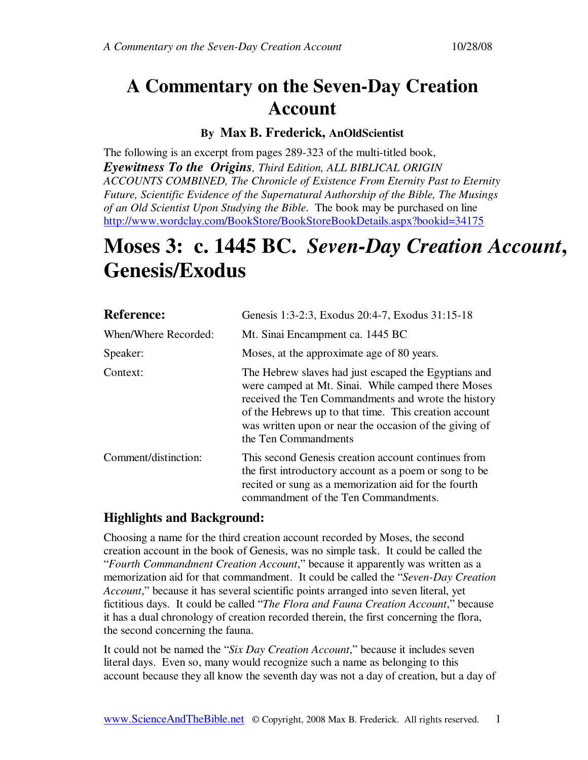# **A Commentary on the Seven-Day Creation Account**

# **By Max B. Frederick, AnOldScientist**

The following is an excerpt from pages 289-323 of the multi-titled book, *Eyewitness To the Origins, Third Edition, ALL BIBLICAL ORIGIN ACCOUNTS COMBINED, The Chronicle of Existence From Eternity Past to Eternity Future, Scientific Evidence of the Supernatural Authorship of the Bible, The Musings of an Old Scientist Upon Studying the Bible*. The book may be purchased on line http://www.wordclay.com/BookStore/BookStoreBookDetails.aspx?bookid=34175

# **Moses 3: c. 1445 BC.** *Seven-Day Creation Account***, Genesis/Exodus**

| <b>Reference:</b>    | Genesis 1:3-2:3, Exodus 20:4-7, Exodus 31:15-18                                                                                                                                                                                                                                                              |
|----------------------|--------------------------------------------------------------------------------------------------------------------------------------------------------------------------------------------------------------------------------------------------------------------------------------------------------------|
| When/Where Recorded: | Mt. Sinai Encampment ca. 1445 BC                                                                                                                                                                                                                                                                             |
| Speaker:             | Moses, at the approximate age of 80 years.                                                                                                                                                                                                                                                                   |
| Context:             | The Hebrew slaves had just escaped the Egyptians and<br>were camped at Mt. Sinai. While camped there Moses<br>received the Ten Commandments and wrote the history<br>of the Hebrews up to that time. This creation account<br>was written upon or near the occasion of the giving of<br>the Ten Commandments |
| Comment/distinction: | This second Genesis creation account continues from<br>the first introductory account as a poem or song to be<br>recited or sung as a memorization aid for the fourth<br>commandment of the Ten Commandments.                                                                                                |

# **Highlights and Background:**

Choosing a name for the third creation account recorded by Moses, the second creation account in the book of Genesis, was no simple task. It could be called the "*Fourth Commandment Creation Account*," because it apparently was written as a memorization aid for that commandment. It could be called the "*Seven-Day Creation Account*," because it has several scientific points arranged into seven literal, yet fictitious days. It could be called "*The Flora and Fauna Creation Account*," because it has a dual chronology of creation recorded therein, the first concerning the flora, the second concerning the fauna.

It could not be named the "*Six Day Creation Account*," because it includes seven literal days. Even so, many would recognize such a name as belonging to this account because they all know the seventh day was not a day of creation, but a day of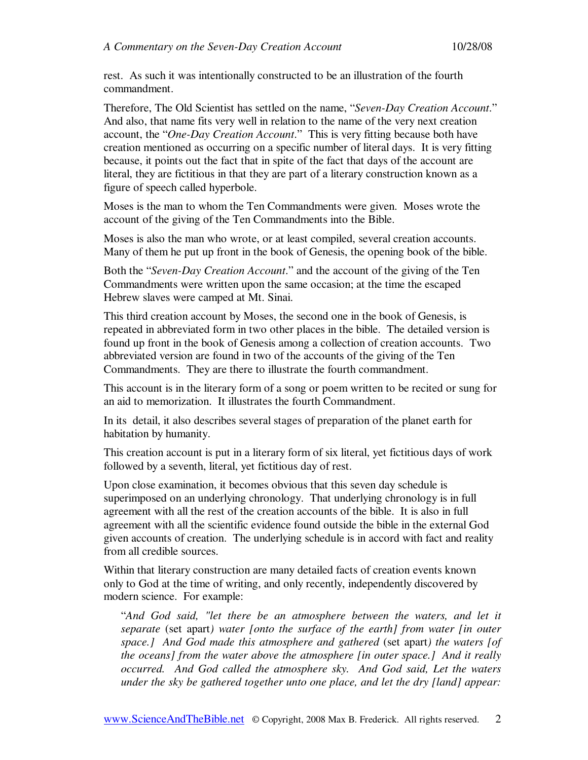rest. As such it was intentionally constructed to be an illustration of the fourth commandment.

Therefore, The Old Scientist has settled on the name, "*Seven-Day Creation Account*." And also, that name fits very well in relation to the name of the very next creation account, the "*One-Day Creation Account*." This is very fitting because both have creation mentioned as occurring on a specific number of literal days. It is very fitting because, it points out the fact that in spite of the fact that days of the account are literal, they are fictitious in that they are part of a literary construction known as a figure of speech called hyperbole.

Moses is the man to whom the Ten Commandments were given. Moses wrote the account of the giving of the Ten Commandments into the Bible.

Moses is also the man who wrote, or at least compiled, several creation accounts. Many of them he put up front in the book of Genesis, the opening book of the bible.

Both the "*Seven-Day Creation Account*." and the account of the giving of the Ten Commandments were written upon the same occasion; at the time the escaped Hebrew slaves were camped at Mt. Sinai.

This third creation account by Moses, the second one in the book of Genesis, is repeated in abbreviated form in two other places in the bible. The detailed version is found up front in the book of Genesis among a collection of creation accounts. Two abbreviated version are found in two of the accounts of the giving of the Ten Commandments. They are there to illustrate the fourth commandment.

This account is in the literary form of a song or poem written to be recited or sung for an aid to memorization. It illustrates the fourth Commandment.

In its detail, it also describes several stages of preparation of the planet earth for habitation by humanity.

This creation account is put in a literary form of six literal, yet fictitious days of work followed by a seventh, literal, yet fictitious day of rest.

Upon close examination, it becomes obvious that this seven day schedule is superimposed on an underlying chronology. That underlying chronology is in full agreement with all the rest of the creation accounts of the bible. It is also in full agreement with all the scientific evidence found outside the bible in the external God given accounts of creation. The underlying schedule is in accord with fact and reality from all credible sources.

Within that literary construction are many detailed facts of creation events known only to God at the time of writing, and only recently, independently discovered by modern science. For example:

"*And God said, "let there be an atmosphere between the waters, and let it separate* (set apart*) water [onto the surface of the earth] from water [in outer space.] And God made this atmosphere and gathered* (set apart*) the waters [of the oceans] from the water above the atmosphere [in outer space.] And it really occurred. And God called the atmosphere sky. And God said, Let the waters under the sky be gathered together unto one place, and let the dry [land] appear:*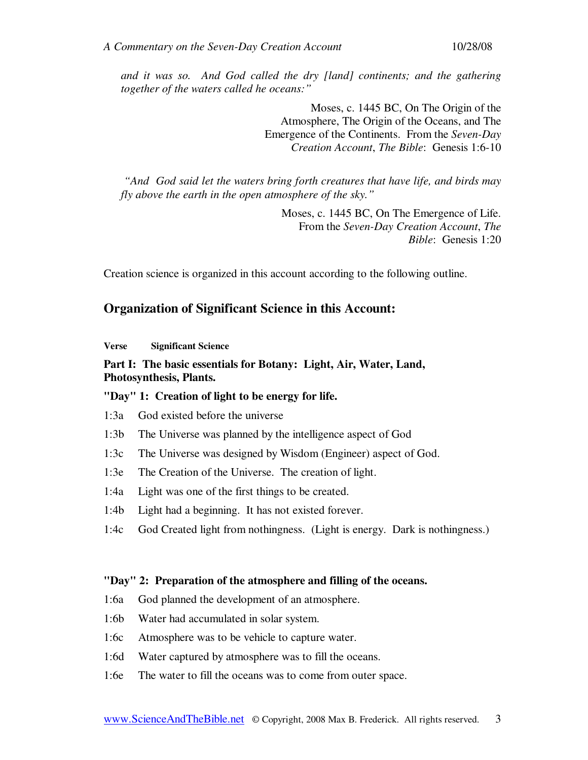*and it was so. And God called the dry [land] continents; and the gathering together of the waters called he oceans:"* 

> Moses, c. 1445 BC, On The Origin of the Atmosphere, The Origin of the Oceans, and The Emergence of the Continents. From the *Seven-Day Creation Account*, *The Bible*: Genesis 1:6-10

 *"And God said let the waters bring forth creatures that have life, and birds may fly above the earth in the open atmosphere of the sky."* 

> Moses, c. 1445 BC, On The Emergence of Life. From the *Seven-Day Creation Account*, *The Bible*: Genesis 1:20

Creation science is organized in this account according to the following outline.

## **Organization of Significant Science in this Account:**

**Verse Significant Science** 

## **Part I: The basic essentials for Botany: Light, Air, Water, Land, Photosynthesis, Plants.**

#### **"Day" 1: Creation of light to be energy for life.**

- 1:3a God existed before the universe
- 1:3b The Universe was planned by the intelligence aspect of God
- 1:3c The Universe was designed by Wisdom (Engineer) aspect of God.
- 1:3e The Creation of the Universe. The creation of light.
- 1:4a Light was one of the first things to be created.
- 1:4b Light had a beginning. It has not existed forever.
- 1:4c God Created light from nothingness. (Light is energy. Dark is nothingness.)

#### **"Day" 2: Preparation of the atmosphere and filling of the oceans.**

- 1:6a God planned the development of an atmosphere.
- 1:6b Water had accumulated in solar system.
- 1:6c Atmosphere was to be vehicle to capture water.
- 1:6d Water captured by atmosphere was to fill the oceans.
- 1:6e The water to fill the oceans was to come from outer space.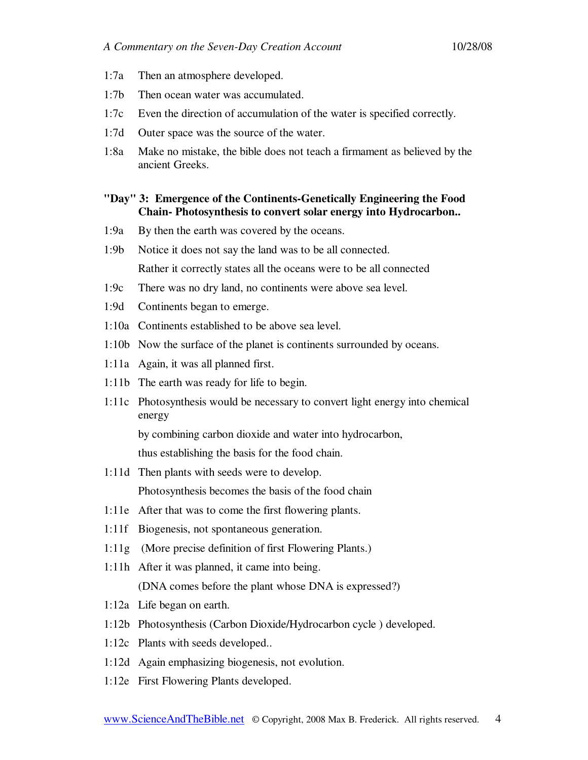- 1:7a Then an atmosphere developed.
- 1:7b Then ocean water was accumulated.
- 1:7c Even the direction of accumulation of the water is specified correctly.
- 1:7d Outer space was the source of the water.
- 1:8a Make no mistake, the bible does not teach a firmament as believed by the ancient Greeks.

## **"Day" 3: Emergence of the Continents-Genetically Engineering the Food Chain- Photosynthesis to convert solar energy into Hydrocarbon..**

- 1:9a By then the earth was covered by the oceans.
- 1:9b Notice it does not say the land was to be all connected. Rather it correctly states all the oceans were to be all connected
- 1:9c There was no dry land, no continents were above sea level.
- 1:9d Continents began to emerge.
- 1:10a Continents established to be above sea level.
- 1:10b Now the surface of the planet is continents surrounded by oceans.
- 1:11a Again, it was all planned first.
- 1:11b The earth was ready for life to begin.
- 1:11c Photosynthesis would be necessary to convert light energy into chemical energy

by combining carbon dioxide and water into hydrocarbon,

thus establishing the basis for the food chain.

- 1:11d Then plants with seeds were to develop. Photosynthesis becomes the basis of the food chain
- 1:11e After that was to come the first flowering plants.
- 1:11f Biogenesis, not spontaneous generation.
- 1:11g (More precise definition of first Flowering Plants.)
- 1:11h After it was planned, it came into being. (DNA comes before the plant whose DNA is expressed?)
- 1:12a Life began on earth.
- 1:12b Photosynthesis (Carbon Dioxide/Hydrocarbon cycle ) developed.
- 1:12c Plants with seeds developed..
- 1:12d Again emphasizing biogenesis, not evolution.
- 1:12e First Flowering Plants developed.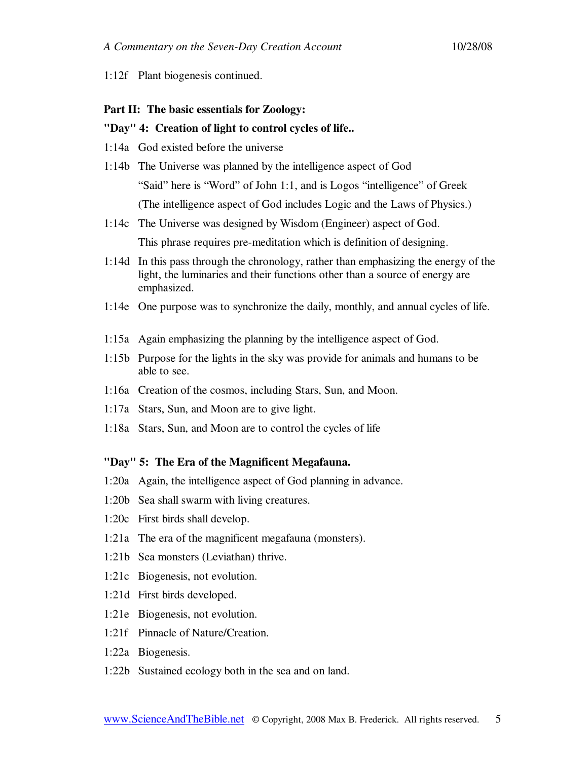1:12f Plant biogenesis continued.

#### **Part II: The basic essentials for Zoology:**

#### **"Day" 4: Creation of light to control cycles of life..**

- 1:14a God existed before the universe
- 1:14b The Universe was planned by the intelligence aspect of God "Said" here is "Word" of John 1:1, and is Logos "intelligence" of Greek (The intelligence aspect of God includes Logic and the Laws of Physics.)
- 1:14c The Universe was designed by Wisdom (Engineer) aspect of God. This phrase requires pre-meditation which is definition of designing.
- 1:14d In this pass through the chronology, rather than emphasizing the energy of the light, the luminaries and their functions other than a source of energy are emphasized.
- 1:14e One purpose was to synchronize the daily, monthly, and annual cycles of life.
- 1:15a Again emphasizing the planning by the intelligence aspect of God.
- 1:15b Purpose for the lights in the sky was provide for animals and humans to be able to see.
- 1:16a Creation of the cosmos, including Stars, Sun, and Moon.
- 1:17a Stars, Sun, and Moon are to give light.
- 1:18a Stars, Sun, and Moon are to control the cycles of life

#### **"Day" 5: The Era of the Magnificent Megafauna.**

- 1:20a Again, the intelligence aspect of God planning in advance.
- 1:20b Sea shall swarm with living creatures.
- 1:20c First birds shall develop.
- 1:21a The era of the magnificent megafauna (monsters).
- 1:21b Sea monsters (Leviathan) thrive.
- 1:21c Biogenesis, not evolution.
- 1:21d First birds developed.
- 1:21e Biogenesis, not evolution.
- 1:21f Pinnacle of Nature/Creation.
- 1:22a Biogenesis.
- 1:22b Sustained ecology both in the sea and on land.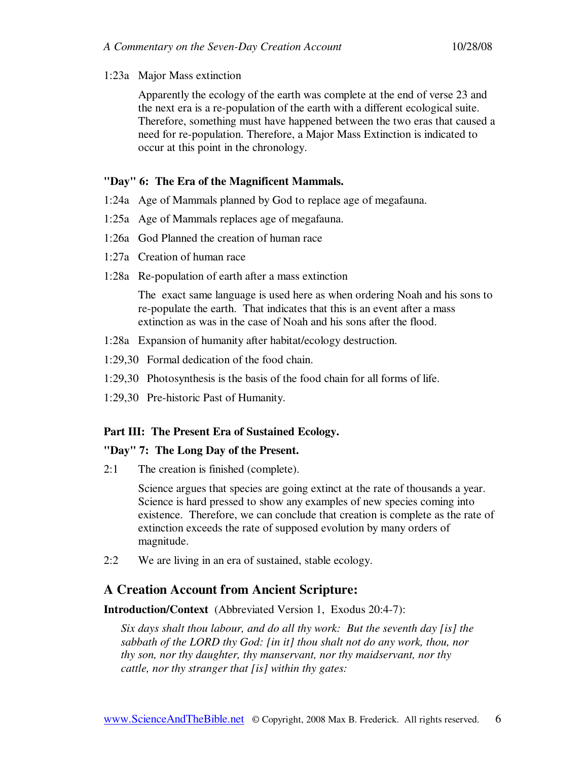#### 1:23a Major Mass extinction

 Apparently the ecology of the earth was complete at the end of verse 23 and the next era is a re-population of the earth with a different ecological suite. Therefore, something must have happened between the two eras that caused a need for re-population. Therefore, a Major Mass Extinction is indicated to occur at this point in the chronology.

#### **"Day" 6: The Era of the Magnificent Mammals.**

- 1:24a Age of Mammals planned by God to replace age of megafauna.
- 1:25a Age of Mammals replaces age of megafauna.
- 1:26a God Planned the creation of human race
- 1:27a Creation of human race
- 1:28a Re-population of earth after a mass extinction

 The exact same language is used here as when ordering Noah and his sons to re-populate the earth. That indicates that this is an event after a mass extinction as was in the case of Noah and his sons after the flood.

- 1:28a Expansion of humanity after habitat/ecology destruction.
- 1:29,30 Formal dedication of the food chain.
- 1:29,30 Photosynthesis is the basis of the food chain for all forms of life.
- 1:29,30 Pre-historic Past of Humanity.

## **Part III: The Present Era of Sustained Ecology.**

#### **"Day" 7: The Long Day of the Present.**

2:1 The creation is finished (complete).

 Science argues that species are going extinct at the rate of thousands a year. Science is hard pressed to show any examples of new species coming into existence. Therefore, we can conclude that creation is complete as the rate of extinction exceeds the rate of supposed evolution by many orders of magnitude.

2:2 We are living in an era of sustained, stable ecology.

## **A Creation Account from Ancient Scripture:**

**Introduction/Context** (Abbreviated Version 1, Exodus 20:4-7):

*Six days shalt thou labour, and do all thy work: But the seventh day [is] the sabbath of the LORD thy God: [in it] thou shalt not do any work, thou, nor thy son, nor thy daughter, thy manservant, nor thy maidservant, nor thy cattle, nor thy stranger that [is] within thy gates:*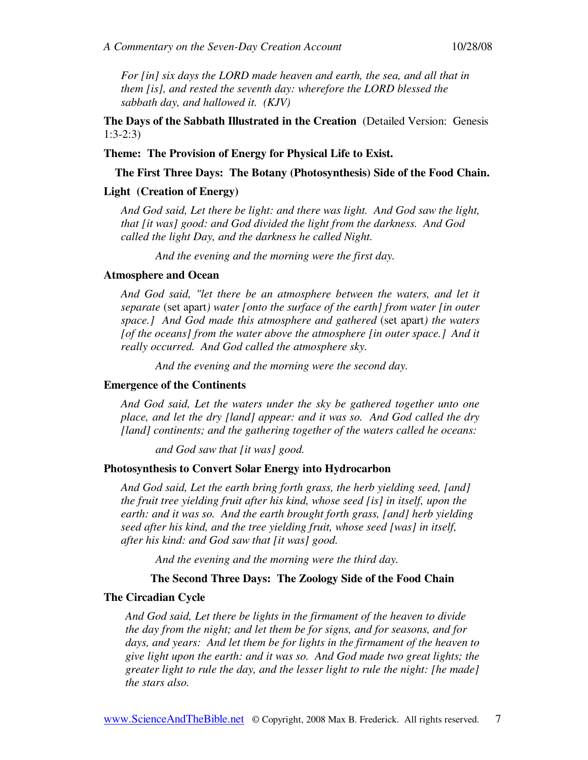*For [in] six days the LORD made heaven and earth, the sea, and all that in them [is], and rested the seventh day: wherefore the LORD blessed the sabbath day, and hallowed it. (KJV)* 

**The Days of the Sabbath Illustrated in the Creation** (Detailed Version:Genesis 1:3-2:3)

**Theme: The Provision of Energy for Physical Life to Exist.** 

**The First Three Days: The Botany (Photosynthesis) Side of the Food Chain.** 

#### **Light (Creation of Energy)**

*And God said, Let there be light: and there was light. And God saw the light, that [it was] good: and God divided the light from the darkness. And God called the light Day, and the darkness he called Night.* 

*And the evening and the morning were the first day.* 

#### **Atmosphere and Ocean**

*And God said, "let there be an atmosphere between the waters, and let it separate* (set apart*) water [onto the surface of the earth] from water [in outer space.] And God made this atmosphere and gathered* (set apart*) the waters [of the oceans] from the water above the atmosphere [in outer space.] And it really occurred. And God called the atmosphere sky.* 

*And the evening and the morning were the second day.* 

#### **Emergence of the Continents**

*And God said, Let the waters under the sky be gathered together unto one place, and let the dry [land] appear: and it was so. And God called the dry [land] continents; and the gathering together of the waters called he oceans:* 

*and God saw that [it was] good.* 

#### **Photosynthesis to Convert Solar Energy into Hydrocarbon**

*And God said, Let the earth bring forth grass, the herb yielding seed, [and] the fruit tree yielding fruit after his kind, whose seed [is] in itself, upon the earth: and it was so. And the earth brought forth grass, [and] herb yielding seed after his kind, and the tree yielding fruit, whose seed [was] in itself, after his kind: and God saw that [it was] good.* 

*And the evening and the morning were the third day.* 

#### **The Second Three Days: The Zoology Side of the Food Chain**

#### **The Circadian Cycle**

*And God said, Let there be lights in the firmament of the heaven to divide the day from the night; and let them be for signs, and for seasons, and for days, and years: And let them be for lights in the firmament of the heaven to give light upon the earth: and it was so. And God made two great lights; the greater light to rule the day, and the lesser light to rule the night: [he made] the stars also.*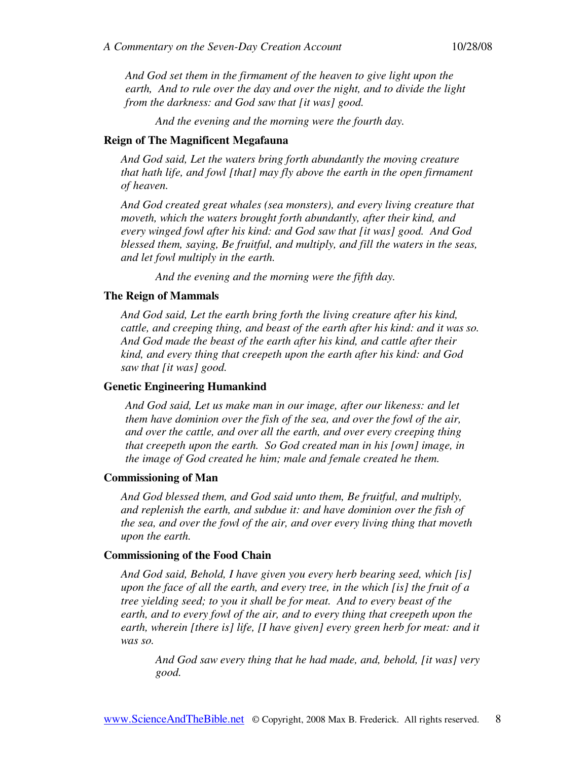*And God set them in the firmament of the heaven to give light upon the earth, And to rule over the day and over the night, and to divide the light from the darkness: and God saw that [it was] good.* 

*And the evening and the morning were the fourth day.* 

#### **Reign of The Magnificent Megafauna**

*And God said, Let the waters bring forth abundantly the moving creature that hath life, and fowl [that] may fly above the earth in the open firmament of heaven.* 

*And God created great whales (sea monsters), and every living creature that moveth, which the waters brought forth abundantly, after their kind, and every winged fowl after his kind: and God saw that [it was] good. And God blessed them, saying, Be fruitful, and multiply, and fill the waters in the seas, and let fowl multiply in the earth.* 

*And the evening and the morning were the fifth day.* 

#### **The Reign of Mammals**

*And God said, Let the earth bring forth the living creature after his kind, cattle, and creeping thing, and beast of the earth after his kind: and it was so. And God made the beast of the earth after his kind, and cattle after their kind, and every thing that creepeth upon the earth after his kind: and God saw that [it was] good.* 

#### **Genetic Engineering Humankind**

*And God said, Let us make man in our image, after our likeness: and let them have dominion over the fish of the sea, and over the fowl of the air, and over the cattle, and over all the earth, and over every creeping thing that creepeth upon the earth. So God created man in his [own] image, in the image of God created he him; male and female created he them.* 

#### **Commissioning of Man**

*And God blessed them, and God said unto them, Be fruitful, and multiply, and replenish the earth, and subdue it: and have dominion over the fish of the sea, and over the fowl of the air, and over every living thing that moveth upon the earth.* 

#### **Commissioning of the Food Chain**

*And God said, Behold, I have given you every herb bearing seed, which [is] upon the face of all the earth, and every tree, in the which [is] the fruit of a tree yielding seed; to you it shall be for meat. And to every beast of the earth, and to every fowl of the air, and to every thing that creepeth upon the earth, wherein [there is] life, [I have given] every green herb for meat: and it was so.* 

*And God saw every thing that he had made, and, behold, [it was] very good.*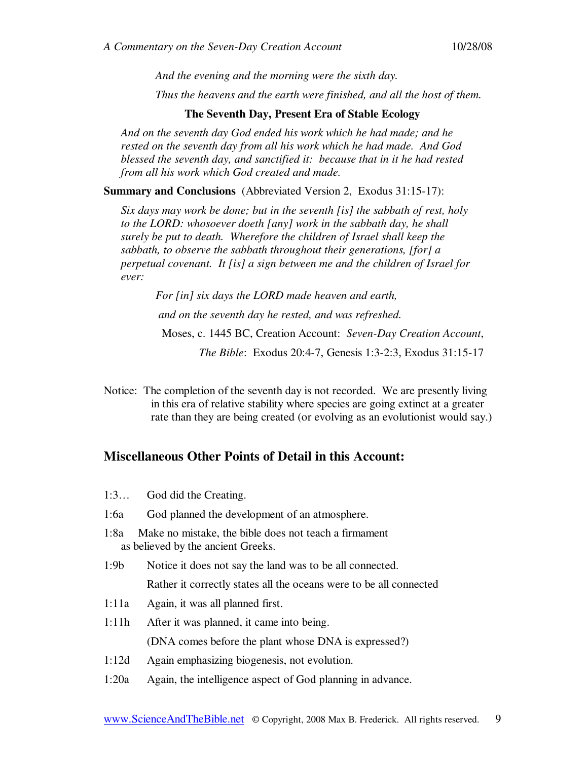*And the evening and the morning were the sixth day.* 

*Thus the heavens and the earth were finished, and all the host of them.* 

#### **The Seventh Day, Present Era of Stable Ecology**

*And on the seventh day God ended his work which he had made; and he rested on the seventh day from all his work which he had made. And God blessed the seventh day, and sanctified it: because that in it he had rested from all his work which God created and made.* 

**Summary and Conclusions** (Abbreviated Version 2, Exodus 31:15-17):

*Six days may work be done; but in the seventh [is] the sabbath of rest, holy to the LORD: whosoever doeth [any] work in the sabbath day, he shall surely be put to death. Wherefore the children of Israel shall keep the sabbath, to observe the sabbath throughout their generations, [for] a perpetual covenant. It [is] a sign between me and the children of Israel for ever:* 

*For [in] six days the LORD made heaven and earth, and on the seventh day he rested, and was refreshed.*  Moses, c. 1445 BC, Creation Account: *Seven-Day Creation Account*, *The Bible*: Exodus 20:4-7, Genesis 1:3-2:3, Exodus 31:15-17

Notice: The completion of the seventh day is not recorded. We are presently living in this era of relative stability where species are going extinct at a greater rate than they are being created (or evolving as an evolutionist would say.)

## **Miscellaneous Other Points of Detail in this Account:**

- 1:3… God did the Creating.
- 1:6a God planned the development of an atmosphere.
- 1:8a Make no mistake, the bible does not teach a firmament as believed by the ancient Greeks.
- 1:9b Notice it does not say the land was to be all connected. Rather it correctly states all the oceans were to be all connected
- 1:11a Again, it was all planned first.
- 1:11h After it was planned, it came into being. (DNA comes before the plant whose DNA is expressed?)
- 1:12d Again emphasizing biogenesis, not evolution.
- 1:20a Again, the intelligence aspect of God planning in advance.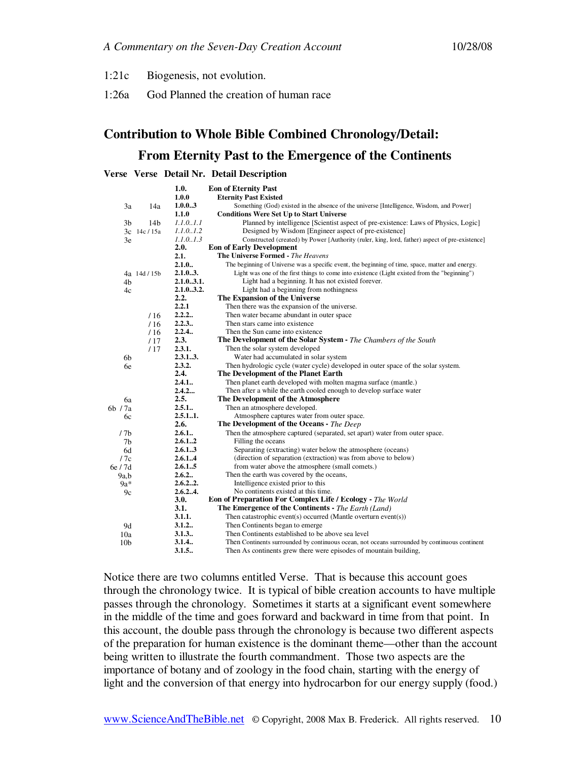- 1:21c Biogenesis, not evolution.
- 1:26a God Planned the creation of human race

# **Contribution to Whole Bible Combined Chronology/Detail:**

## **From Eternity Past to the Emergence of the Continents**

#### **Verse Verse Detail Nr. Detail Description**

|                 |                 | 1.0.      | <b>Eon of Eternity Past</b>                                                                      |
|-----------------|-----------------|-----------|--------------------------------------------------------------------------------------------------|
|                 |                 | 1.0.0     | <b>Eternity Past Existed</b>                                                                     |
| 3a              | 14a             | 1.0.03    | Something (God) existed in the absence of the universe [Intelligence, Wisdom, and Power]         |
|                 |                 | 1.1.0     | <b>Conditions Were Set Up to Start Universe</b>                                                  |
| 3b              | 14 <sub>b</sub> | 1.1.01.1  | Planned by intelligence [Scientist aspect of pre-existence: Laws of Physics, Logic]              |
|                 | 3c 14c / 15a    | 1.1.01.2  | Designed by Wisdom [Engineer aspect of pre-existence]                                            |
| 3e              |                 | 1.1.01.3  | Constructed (created) by Power [Authority (ruler, king, lord, father) aspect of pre-existence]   |
|                 |                 | 2.0.      | <b>Eon of Early Development</b>                                                                  |
|                 |                 | 2.1.      | <b>The Universe Formed - The Heavens</b>                                                         |
|                 |                 | 2.1.0     | The beginning of Universe was a specific event, the beginning of time, space, matter and energy. |
|                 | 4a 14d / 15b    | 2.1.03.   | Light was one of the first things to come into existence (Light existed from the "beginning")    |
| 4b              |                 | 2.1.03.1. | Light had a beginning. It has not existed forever.                                               |
| 4c              |                 | 2.1.03.2. | Light had a beginning from nothingness                                                           |
|                 |                 | 2.2.      | The Expansion of the Universe                                                                    |
|                 |                 | 2.2.1     | Then there was the expansion of the universe.                                                    |
|                 | /16             | 2.2.2     | Then water became abundant in outer space                                                        |
|                 | /16             | 2.2.3     | Then stars came into existence                                                                   |
|                 | /16             | 2.2.4.    | Then the Sun came into existence                                                                 |
|                 | /17             | 2.3.      | <b>The Development of the Solar System - The Chambers of the South</b>                           |
|                 | /17             | 2.3.1.    | Then the solar system developed                                                                  |
| 6b              |                 | 2.3.13.   | Water had accumulated in solar system                                                            |
| 6e              |                 | 2.3.2.    | Then hydrologic cycle (water cycle) developed in outer space of the solar system.                |
|                 |                 | 2.4.      | The Development of the Planet Earth                                                              |
|                 |                 | 2.4.1     | Then planet earth developed with molten magma surface (mantle.)                                  |
|                 |                 | 2.4.2     | Then after a while the earth cooled enough to develop surface water                              |
| ба              |                 | 2.5.      | The Development of the Atmosphere                                                                |
| 6b / 7a         |                 | 2.5.1     | Then an atmosphere developed.                                                                    |
| 6с              |                 | 2.5.11.   | Atmosphere captures water from outer space.                                                      |
|                 |                 | 2.6.      | The Development of the Oceans - The Deep                                                         |
| /7 <sub>b</sub> |                 | 2.6.1     | Then the atmosphere captured (separated, set apart) water from outer space.                      |
| 7b              |                 | 2.6.12    | Filling the oceans                                                                               |
| 6d              |                 | 2.6.13    | Separating (extracting) water below the atmosphere (oceans)                                      |
| /7c             |                 | 2.6.14    | (direction of separation (extraction) was from above to below)                                   |
| 6e / 7d         |                 | 2.6.15    | from water above the atmosphere (small comets.)                                                  |
| 9a.b            |                 | 2.6.2     | Then the earth was covered by the oceans,                                                        |
| $9a*$           |                 | 2.6.22.   | Intelligence existed prior to this                                                               |
| 9c              |                 | 2.6.24.   | No continents existed at this time.                                                              |
|                 |                 | 3.0.      | Eon of Preparation For Complex Life / Ecology - The World                                        |
|                 |                 | 3.1.      | <b>The Emergence of the Continents - The Earth (Land)</b>                                        |
|                 |                 | 3.1.1.    | Then catastrophic event(s) occurred (Mantle overturn event(s))                                   |
| 9d              |                 | 3.1.2     | Then Continents began to emerge                                                                  |
| 10a             |                 | 3.1.3.    | Then Continents established to be above sea level                                                |
| 10 <sub>b</sub> |                 | 3.1.4.    | Then Continents surrounded by continuous ocean, not oceans surrounded by continuous continent    |
|                 |                 | 3.1.5.    | Then As continents grew there were episodes of mountain building,                                |

Notice there are two columns entitled Verse. That is because this account goes through the chronology twice. It is typical of bible creation accounts to have multiple passes through the chronology. Sometimes it starts at a significant event somewhere in the middle of the time and goes forward and backward in time from that point. In this account, the double pass through the chronology is because two different aspects of the preparation for human existence is the dominant theme—other than the account being written to illustrate the fourth commandment. Those two aspects are the importance of botany and of zoology in the food chain, starting with the energy of light and the conversion of that energy into hydrocarbon for our energy supply (food.)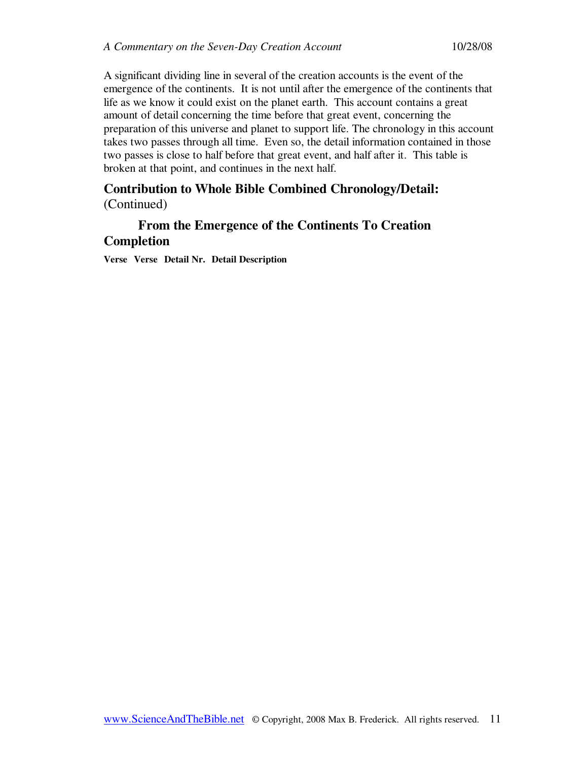A significant dividing line in several of the creation accounts is the event of the emergence of the continents. It is not until after the emergence of the continents that life as we know it could exist on the planet earth. This account contains a great amount of detail concerning the time before that great event, concerning the preparation of this universe and planet to support life. The chronology in this account takes two passes through all time. Even so, the detail information contained in those two passes is close to half before that great event, and half after it. This table is broken at that point, and continues in the next half.

# **Contribution to Whole Bible Combined Chronology/Detail:**

(Continued)

# **From the Emergence of the Continents To Creation Completion**

**Verse Verse Detail Nr. Detail Description**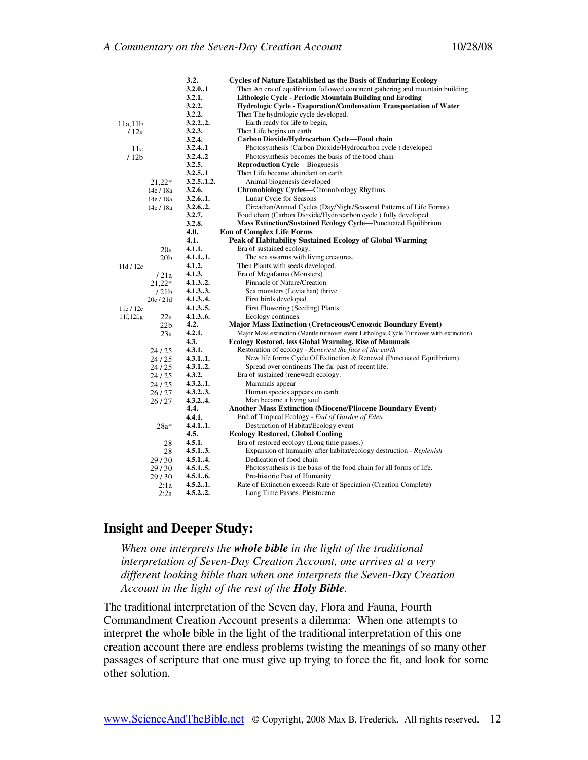|                  |                  | 3.2.      | <b>Cycles of Nature Established as the Basis of Enduring Ecology</b>                    |
|------------------|------------------|-----------|-----------------------------------------------------------------------------------------|
|                  |                  | 3.2.0.1   | Then An era of equilibrium followed continent gathering and mountain building           |
|                  |                  | 3.2.1.    | Lithologic Cycle - Periodic Mountain Building and Eroding                               |
|                  |                  | 3.2.2.    | Hydrologic Cycle - Evaporation/Condensation Transportation of Water                     |
|                  |                  | 3.2.2.    | Then The hydrologic cycle developed.                                                    |
| 11a,11b          |                  | 3.2.22.   | Earth ready for life to begin,                                                          |
| 12a              |                  | 3.2.3.    | Then Life begins on earth                                                               |
|                  |                  | 3.2.4.    | Carbon Dioxide/Hydrocarbon Cycle-Food chain                                             |
| 11c              |                  | 3.2.41    | Photosynthesis (Carbon Dioxide/Hydrocarbon cycle) developed                             |
| /12 <sub>b</sub> |                  | 3.2.42    | Photosynthesis becomes the basis of the food chain                                      |
|                  |                  | 3.2.5.    | <b>Reproduction Cycle—Biogenesis</b>                                                    |
|                  |                  | 3.2.5.1   | Then Life became abundant on earth                                                      |
|                  | $21,22*$         | 3.2.51.2. | Animal biogenesis developed                                                             |
|                  | 14e / 18a        | 3.2.6.    | Chronobiology Cycles-Chronobiology Rhythms                                              |
|                  | 14e / 18a        | 3.2.61.   | Lunar Cycle for Seasons                                                                 |
|                  | 14e / 18a        | 3.2.62.   | Circadian/Annual Cycles (Day/Night/Seasonal Patterns of Life Forms)                     |
|                  |                  | 3.2.7.    | Food chain (Carbon Dioxide/Hydrocarbon cycle) fully developed                           |
|                  |                  | 3.2.8.    | Mass Extinction/Sustained Ecology Cycle—Punctuated Equilibrium                          |
|                  |                  | 4.0.      | <b>Eon of Complex Life Forms</b>                                                        |
|                  |                  | 4.1.      | Peak of Habitability Sustained Ecology of Global Warming                                |
|                  | 20a              | 4.1.1.    | Era of sustained ecology.                                                               |
|                  | 20 <sub>b</sub>  | 4.1.11.   | The sea swarms with living creatures.                                                   |
| 11d/12c          |                  | 4.1.2.    | Then Plants with seeds developed.                                                       |
|                  | /21a             | 4.1.3.    | Era of Megafauna (Monsters)                                                             |
|                  | $21,22*$         | 4.1.32.   | Pinnacle of Nature/Creation                                                             |
|                  | /21 <sub>b</sub> | 4.1.33.   | Sea monsters (Leviathan) thrive                                                         |
|                  | 20c/21d          | 4.1.34.   | First birds developed                                                                   |
| 11e / 12e        |                  | 4.1.35.   | First Flowering (Seeding) Plants.                                                       |
| 11f, 12f, g      | 22a              | 4.1.36.   | Ecology continues                                                                       |
|                  | 22 <sub>b</sub>  | 4.2.      | <b>Major Mass Extinction (Cretaceous/Cenozoic Boundary Event)</b>                       |
|                  | 23a              | 4.2.1.    | Major Mass extinction (Mantle turnover event Lithologic Cycle Turnover with extinction) |
|                  |                  | 4.3.      | Ecology Restored, less Global Warming, Rise of Mammals                                  |
|                  | 24/25            | 4.3.1.    | Restoration of ecology - Renewest the face of the earth                                 |
|                  | 24/25            | 4.3.11.   | New life forms Cycle Of Extinction & Renewal (Punctuated Equilibrium).                  |
|                  |                  | 4.3.12.   | Spread over continents The far past of recent life.                                     |
|                  | 24/25            | 4.3.2.    | Era of sustained (renewed) ecology.                                                     |
|                  | 24/25            | 4.3.21.   | Mammals appear                                                                          |
|                  | 24/25            | 4.3.23.   | Human species appears on earth                                                          |
|                  | 26/27            | 4.3.24.   | Man became a living soul                                                                |
|                  | 26/27            | 4.4.      | <b>Another Mass Extinction (Miocene/Pliocene Boundary Event)</b>                        |
|                  |                  | 4.4.1.    | End of Tropical Ecology - End of Garden of Eden                                         |
|                  |                  | 4.4.11.   | Destruction of Habitat/Ecology event                                                    |
|                  | $28a*$           | 4.5.      |                                                                                         |
|                  |                  |           | <b>Ecology Restored, Global Cooling</b>                                                 |
|                  | 28               | 4.5.1.    | Era of restored ecology (Long time passes.)                                             |
|                  | 28               | 4.5.13.   | Expansion of humanity after habitat/ecology destruction - Replenish                     |
|                  | 29/30            | 4.5.14.   | Dedication of food chain                                                                |
|                  | 29/30            | 4.5.15.   | Photosynthesis is the basis of the food chain for all forms of life.                    |
|                  | 29/30            | 4.5.16.   | Pre-historic Past of Humanity                                                           |
|                  | 2:1a             | 4.5.21.   | Rate of Extinction exceeds Rate of Speciation (Creation Complete)                       |
|                  | 2:2a             | 4.5.22.   | Long Time Passes. Pleistocene                                                           |

## **Insight and Deeper Study:**

*When one interprets the whole bible in the light of the traditional interpretation of Seven-Day Creation Account, one arrives at a very different looking bible than when one interprets the Seven-Day Creation Account in the light of the rest of the Holy Bible.* 

The traditional interpretation of the Seven day, Flora and Fauna, Fourth Commandment Creation Account presents a dilemma: When one attempts to interpret the whole bible in the light of the traditional interpretation of this one creation account there are endless problems twisting the meanings of so many other passages of scripture that one must give up trying to force the fit, and look for some other solution.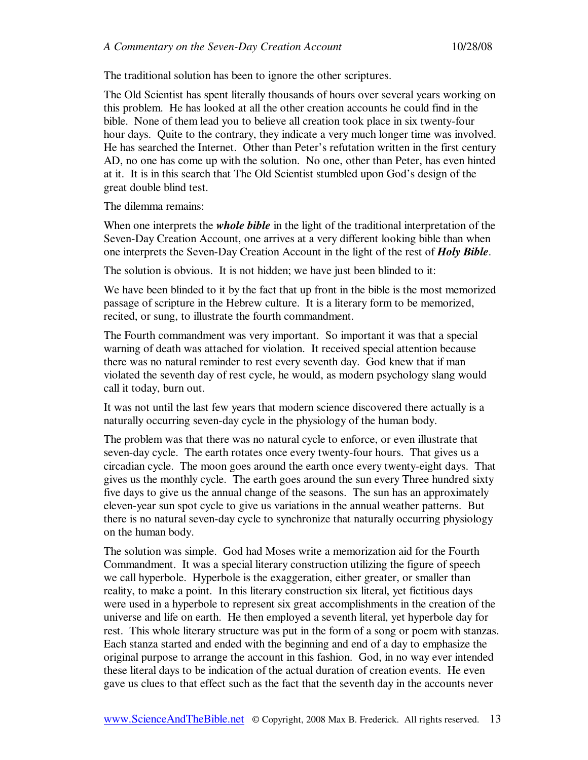The traditional solution has been to ignore the other scriptures.

The Old Scientist has spent literally thousands of hours over several years working on this problem. He has looked at all the other creation accounts he could find in the bible. None of them lead you to believe all creation took place in six twenty-four hour days. Quite to the contrary, they indicate a very much longer time was involved. He has searched the Internet. Other than Peter's refutation written in the first century AD, no one has come up with the solution. No one, other than Peter, has even hinted at it. It is in this search that The Old Scientist stumbled upon God's design of the great double blind test.

The dilemma remains:

When one interprets the *whole bible* in the light of the traditional interpretation of the Seven-Day Creation Account, one arrives at a very different looking bible than when one interprets the Seven-Day Creation Account in the light of the rest of *Holy Bible*.

The solution is obvious. It is not hidden; we have just been blinded to it:

We have been blinded to it by the fact that up front in the bible is the most memorized passage of scripture in the Hebrew culture. It is a literary form to be memorized, recited, or sung, to illustrate the fourth commandment.

The Fourth commandment was very important. So important it was that a special warning of death was attached for violation. It received special attention because there was no natural reminder to rest every seventh day. God knew that if man violated the seventh day of rest cycle, he would, as modern psychology slang would call it today, burn out.

It was not until the last few years that modern science discovered there actually is a naturally occurring seven-day cycle in the physiology of the human body.

The problem was that there was no natural cycle to enforce, or even illustrate that seven-day cycle. The earth rotates once every twenty-four hours. That gives us a circadian cycle. The moon goes around the earth once every twenty-eight days. That gives us the monthly cycle. The earth goes around the sun every Three hundred sixty five days to give us the annual change of the seasons. The sun has an approximately eleven-year sun spot cycle to give us variations in the annual weather patterns. But there is no natural seven-day cycle to synchronize that naturally occurring physiology on the human body.

The solution was simple. God had Moses write a memorization aid for the Fourth Commandment. It was a special literary construction utilizing the figure of speech we call hyperbole. Hyperbole is the exaggeration, either greater, or smaller than reality, to make a point. In this literary construction six literal, yet fictitious days were used in a hyperbole to represent six great accomplishments in the creation of the universe and life on earth. He then employed a seventh literal, yet hyperbole day for rest. This whole literary structure was put in the form of a song or poem with stanzas. Each stanza started and ended with the beginning and end of a day to emphasize the original purpose to arrange the account in this fashion. God, in no way ever intended these literal days to be indication of the actual duration of creation events. He even gave us clues to that effect such as the fact that the seventh day in the accounts never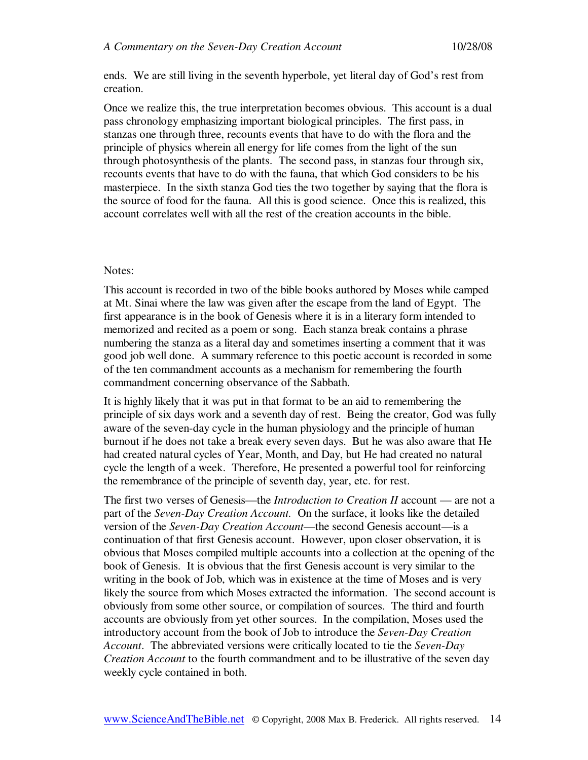ends. We are still living in the seventh hyperbole, yet literal day of God's rest from creation.

Once we realize this, the true interpretation becomes obvious. This account is a dual pass chronology emphasizing important biological principles. The first pass, in stanzas one through three, recounts events that have to do with the flora and the principle of physics wherein all energy for life comes from the light of the sun through photosynthesis of the plants. The second pass, in stanzas four through six, recounts events that have to do with the fauna, that which God considers to be his masterpiece. In the sixth stanza God ties the two together by saying that the flora is the source of food for the fauna. All this is good science. Once this is realized, this account correlates well with all the rest of the creation accounts in the bible.

## Notes:

This account is recorded in two of the bible books authored by Moses while camped at Mt. Sinai where the law was given after the escape from the land of Egypt. The first appearance is in the book of Genesis where it is in a literary form intended to memorized and recited as a poem or song. Each stanza break contains a phrase numbering the stanza as a literal day and sometimes inserting a comment that it was good job well done. A summary reference to this poetic account is recorded in some of the ten commandment accounts as a mechanism for remembering the fourth commandment concerning observance of the Sabbath.

It is highly likely that it was put in that format to be an aid to remembering the principle of six days work and a seventh day of rest. Being the creator, God was fully aware of the seven-day cycle in the human physiology and the principle of human burnout if he does not take a break every seven days. But he was also aware that He had created natural cycles of Year, Month, and Day, but He had created no natural cycle the length of a week. Therefore, He presented a powerful tool for reinforcing the remembrance of the principle of seventh day, year, etc. for rest.

The first two verses of Genesis—the *Introduction to Creation II* account — are not a part of the *Seven-Day Creation Account.* On the surface, it looks like the detailed version of the *Seven-Day Creation Account*—the second Genesis account—is a continuation of that first Genesis account. However, upon closer observation, it is obvious that Moses compiled multiple accounts into a collection at the opening of the book of Genesis. It is obvious that the first Genesis account is very similar to the writing in the book of Job, which was in existence at the time of Moses and is very likely the source from which Moses extracted the information. The second account is obviously from some other source, or compilation of sources. The third and fourth accounts are obviously from yet other sources. In the compilation, Moses used the introductory account from the book of Job to introduce the *Seven-Day Creation Account*. The abbreviated versions were critically located to tie the *Seven-Day Creation Account* to the fourth commandment and to be illustrative of the seven day weekly cycle contained in both.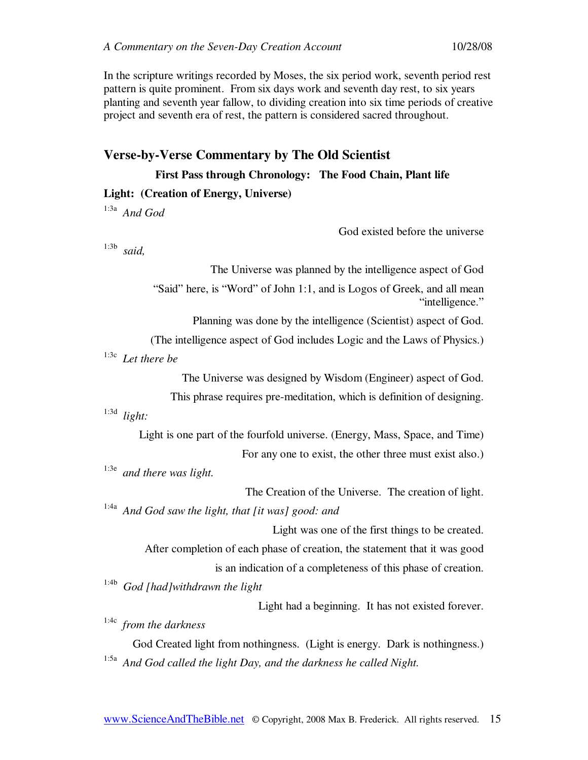In the scripture writings recorded by Moses, the six period work, seventh period rest pattern is quite prominent. From six days work and seventh day rest, to six years planting and seventh year fallow, to dividing creation into six time periods of creative project and seventh era of rest, the pattern is considered sacred throughout.

# **Verse-by-Verse Commentary by The Old Scientist**

**First Pass through Chronology: The Food Chain, Plant life** 

#### **Light: (Creation of Energy, Universe)**

1:3a *And God* 

God existed before the universe

1:3b *said,* 

The Universe was planned by the intelligence aspect of God "Said" here, is "Word" of John 1:1, and is Logos of Greek, and all mean "intelligence."

Planning was done by the intelligence (Scientist) aspect of God.

(The intelligence aspect of God includes Logic and the Laws of Physics.)

1:3c *Let there be* 

The Universe was designed by Wisdom (Engineer) aspect of God.

This phrase requires pre-meditation, which is definition of designing.

1:3d *light:* 

Light is one part of the fourfold universe. (Energy, Mass, Space, and Time) For any one to exist, the other three must exist also.)

1:3e *and there was light.* 

The Creation of the Universe. The creation of light.

1:4a *And God saw the light, that [it was] good: and* 

Light was one of the first things to be created. After completion of each phase of creation, the statement that it was good is an indication of a completeness of this phase of creation.

1:4b *God [had]withdrawn the light* 

Light had a beginning. It has not existed forever.

1:4c *from the darkness* 

God Created light from nothingness. (Light is energy. Dark is nothingness.) 1:5a *And God called the light Day, and the darkness he called Night.*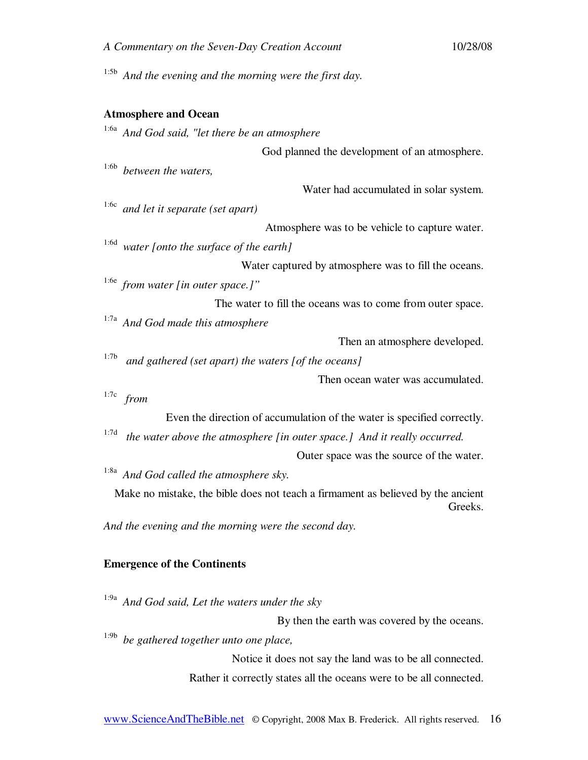| A Commentary on the Seven-Day Creation Account                                   | 10/28/08 |
|----------------------------------------------------------------------------------|----------|
| 1:5b<br>And the evening and the morning were the first day.                      |          |
| <b>Atmosphere and Ocean</b>                                                      |          |
| 1:6a<br>And God said, "let there be an atmosphere                                |          |
| God planned the development of an atmosphere.                                    |          |
| $1:6b$ between the waters,                                                       |          |
| Water had accumulated in solar system.                                           |          |
| 1:6c<br>and let it separate (set apart)                                          |          |
| Atmosphere was to be vehicle to capture water.                                   |          |
| 1:6d<br>water [onto the surface of the earth]                                    |          |
| Water captured by atmosphere was to fill the oceans.                             |          |
| <sup>1:6e</sup> from water [in outer space.]"                                    |          |
| The water to fill the oceans was to come from outer space.                       |          |
| 1:7a<br>And God made this atmosphere                                             |          |
| Then an atmosphere developed.                                                    |          |
| 1:7b<br>and gathered (set apart) the waters [of the oceans]                      |          |
| Then ocean water was accumulated.                                                |          |
| 1:7c<br>from                                                                     |          |
| Even the direction of accumulation of the water is specified correctly.          |          |
| 1:7d<br>the water above the atmosphere [in outer space.] And it really occurred. |          |
| Outer space was the source of the water.                                         |          |
| $1:8\mathrm{a}$<br>And God called the atmosphere sky.                            |          |
| Make no mistake, the bible does not teach a firmament as believed by the ancient | Greeks.  |
| And the evening and the morning were the second day.                             |          |

## **Emergence of the Continents**

1:9a *And God said, Let the waters under the sky*  By then the earth was covered by the oceans. 1:9b *be gathered together unto one place,*  Notice it does not say the land was to be all connected. Rather it correctly states all the oceans were to be all connected.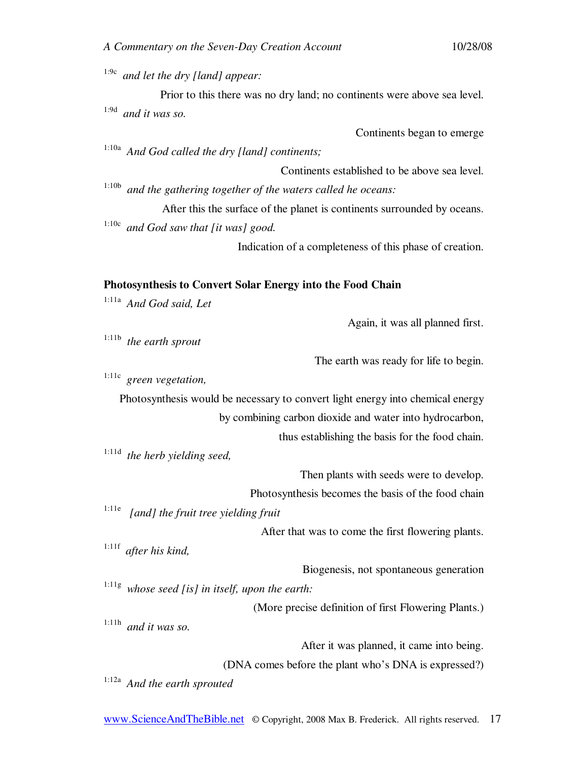1:9c *and let the dry [land] appear:* 

Prior to this there was no dry land; no continents were above sea level. 1:9d *and it was so.* 

Continents began to emerge

1:10a *And God called the dry [land] continents;* 

Continents established to be above sea level. 1:10b *and the gathering together of the waters called he oceans:* 

After this the surface of the planet is continents surrounded by oceans. 1:10c *and God saw that [it was] good.* 

Indication of a completeness of this phase of creation.

#### **Photosynthesis to Convert Solar Energy into the Food Chain**

1:11a *And God said, Let*  Again, it was all planned first. 1:11b *the earth sprout*  The earth was ready for life to begin. 1:11c *green vegetation,*  Photosynthesis would be necessary to convert light energy into chemical energy by combining carbon dioxide and water into hydrocarbon, thus establishing the basis for the food chain. 1:11d *the herb yielding seed,*  Then plants with seeds were to develop. Photosynthesis becomes the basis of the food chain 1:11e *[and] the fruit tree yielding fruit*  After that was to come the first flowering plants. 1:11f *after his kind,*  Biogenesis, not spontaneous generation 1:11g *whose seed [is] in itself, upon the earth:*  (More precise definition of first Flowering Plants.) 1:11h *and it was so.*  After it was planned, it came into being. (DNA comes before the plant who's DNA is expressed?)

1:12a *And the earth sprouted*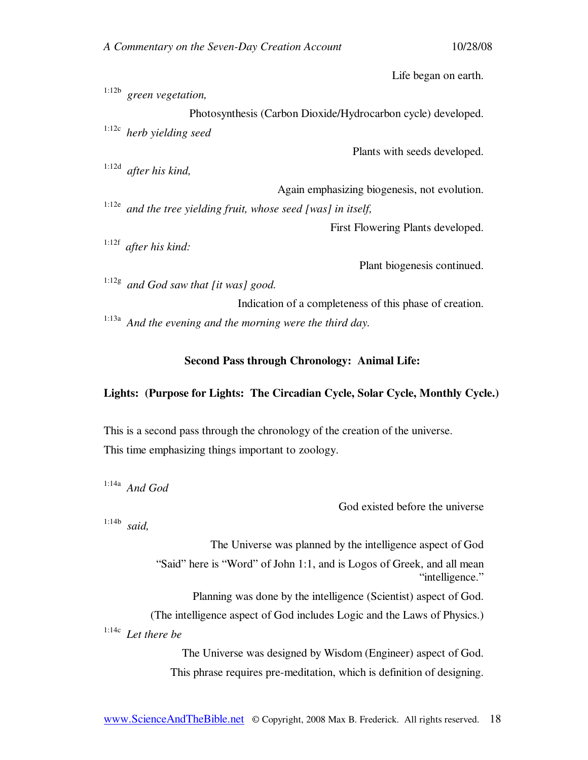Life began on earth.

1:12b *green vegetation,* 

Photosynthesis (Carbon Dioxide/Hydrocarbon cycle) developed. 1:12c *herb yielding seed* 

Plants with seeds developed.

Again emphasizing biogenesis, not evolution. 1:12e *and the tree yielding fruit, whose seed [was] in itself,* 

First Flowering Plants developed.

1:12f *after his kind:* 

1:12d *after his kind,* 

Plant biogenesis continued.

1:12g *and God saw that [it was] good.* 

Indication of a completeness of this phase of creation. 1:13a *And the evening and the morning were the third day.* 

**Second Pass through Chronology: Animal Life:** 

#### **Lights: (Purpose for Lights: The Circadian Cycle, Solar Cycle, Monthly Cycle.)**

This is a second pass through the chronology of the creation of the universe. This time emphasizing things important to zoology.

1:14a *And God* 

God existed before the universe

1:14b *said,* 

The Universe was planned by the intelligence aspect of God

"Said" here is "Word" of John 1:1, and is Logos of Greek, and all mean "intelligence."

Planning was done by the intelligence (Scientist) aspect of God.

(The intelligence aspect of God includes Logic and the Laws of Physics.) 1:14c *Let there be* 

> The Universe was designed by Wisdom (Engineer) aspect of God. This phrase requires pre-meditation, which is definition of designing.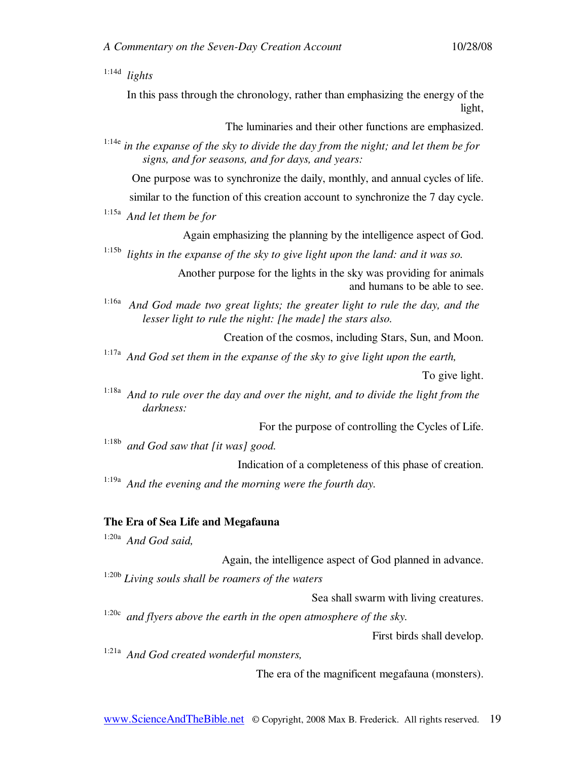1:14d *lights* 

In this pass through the chronology, rather than emphasizing the energy of the light,

The luminaries and their other functions are emphasized.

1:14e *in the expanse of the sky to divide the day from the night; and let them be for signs, and for seasons, and for days, and years:* 

One purpose was to synchronize the daily, monthly, and annual cycles of life.

similar to the function of this creation account to synchronize the 7 day cycle.

1:15a *And let them be for* 

Again emphasizing the planning by the intelligence aspect of God.

1:15b *lights in the expanse of the sky to give light upon the land: and it was so.* 

Another purpose for the lights in the sky was providing for animals and humans to be able to see.

1:16a *And God made two great lights; the greater light to rule the day, and the lesser light to rule the night: [he made] the stars also.* 

Creation of the cosmos, including Stars, Sun, and Moon.

1:17a *And God set them in the expanse of the sky to give light upon the earth,* 

To give light.

1:18a *And to rule over the day and over the night, and to divide the light from the darkness:* 

For the purpose of controlling the Cycles of Life.

1:18b *and God saw that [it was] good.* 

Indication of a completeness of this phase of creation.

1:19a *And the evening and the morning were the fourth day.* 

#### **The Era of Sea Life and Megafauna**

1:20a *And God said,* 

Again, the intelligence aspect of God planned in advance. 1:20b *Living souls shall be roamers of the waters* 

Sea shall swarm with living creatures.

<sup>1:20c</sup> and flyers above the earth in the open atmosphere of the sky.

First birds shall develop.

1:21a *And God created wonderful monsters,* 

The era of the magnificent megafauna (monsters).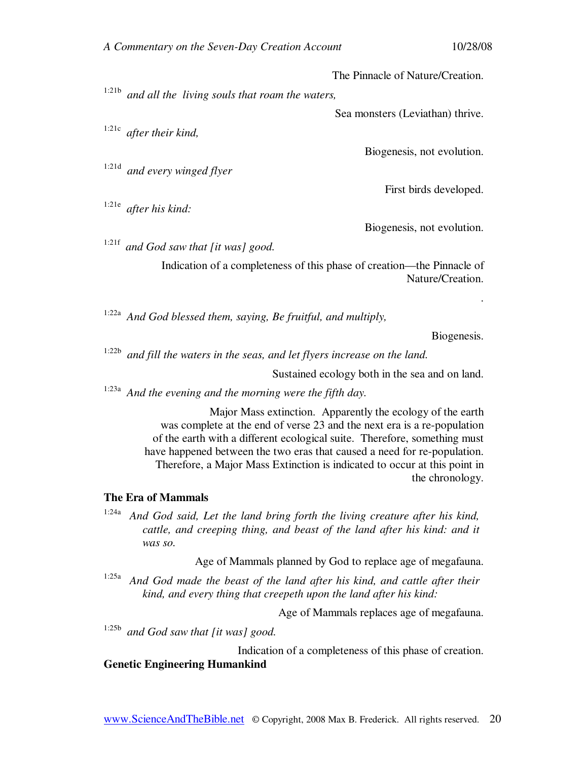The Pinnacle of Nature/Creation.

1:21b *and all the living souls that roam the waters,* 

Sea monsters (Leviathan) thrive.

1:21c *after their kind,* 

1:21d *and every winged flyer* 

1:21e *after his kind:* 

Biogenesis, not evolution.

First birds developed.

Biogenesis, not evolution.

1:21f *and God saw that [it was] good.* 

Indication of a completeness of this phase of creation—the Pinnacle of Nature/Creation.

1:22a *And God blessed them, saying, Be fruitful, and multiply,* 

Biogenesis.

.

1:22b *and fill the waters in the seas, and let flyers increase on the land.* 

Sustained ecology both in the sea and on land.

1:23a *And the evening and the morning were the fifth day.* 

Major Mass extinction. Apparently the ecology of the earth was complete at the end of verse 23 and the next era is a re-population of the earth with a different ecological suite. Therefore, something must have happened between the two eras that caused a need for re-population. Therefore, a Major Mass Extinction is indicated to occur at this point in the chronology.

#### **The Era of Mammals**

1:24a *And God said, Let the land bring forth the living creature after his kind, cattle, and creeping thing, and beast of the land after his kind: and it was so.* 

Age of Mammals planned by God to replace age of megafauna.

1:25a *And God made the beast of the land after his kind, and cattle after their kind, and every thing that creepeth upon the land after his kind:* 

Age of Mammals replaces age of megafauna.

1:25b *and God saw that [it was] good.* 

Indication of a completeness of this phase of creation. **Genetic Engineering Humankind** 

#### www.ScienceAndTheBible.net © Copyright, 2008 Max B. Frederick. All rights reserved. 20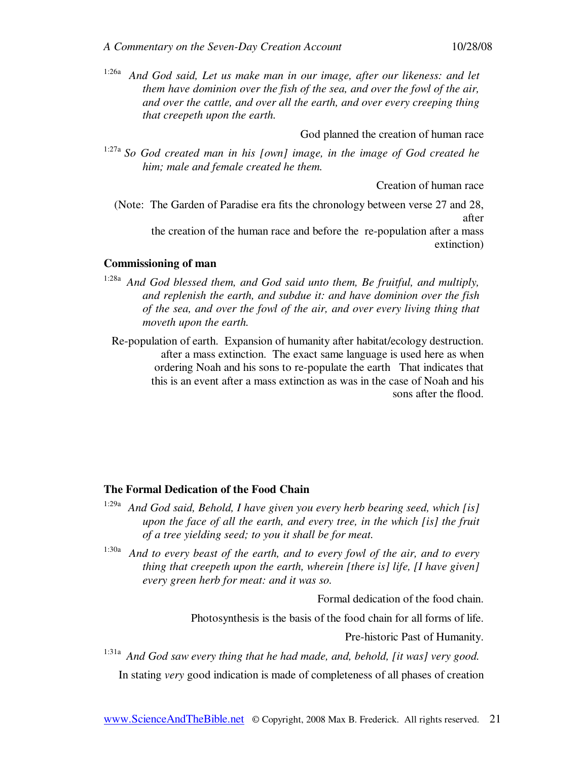1:26a *And God said, Let us make man in our image, after our likeness: and let them have dominion over the fish of the sea, and over the fowl of the air, and over the cattle, and over all the earth, and over every creeping thing that creepeth upon the earth.* 

God planned the creation of human race

1:27a *So God created man in his [own] image, in the image of God created he him; male and female created he them.* 

Creation of human race

(Note: The Garden of Paradise era fits the chronology between verse 27 and 28, after the creation of the human race and before the re-population after a mass extinction)

## **Commissioning of man**

- 1:28a *And God blessed them, and God said unto them, Be fruitful, and multiply, and replenish the earth, and subdue it: and have dominion over the fish of the sea, and over the fowl of the air, and over every living thing that moveth upon the earth.* 
	- Re-population of earth. Expansion of humanity after habitat/ecology destruction. after a mass extinction. The exact same language is used here as when ordering Noah and his sons to re-populate the earth That indicates that this is an event after a mass extinction as was in the case of Noah and his sons after the flood.

#### **The Formal Dedication of the Food Chain**

- 1:29a *And God said, Behold, I have given you every herb bearing seed, which [is] upon the face of all the earth, and every tree, in the which [is] the fruit of a tree yielding seed; to you it shall be for meat.*
- 1:30a *And to every beast of the earth, and to every fowl of the air, and to every thing that creepeth upon the earth, wherein [there is] life, [I have given] every green herb for meat: and it was so.*

Formal dedication of the food chain.

Photosynthesis is the basis of the food chain for all forms of life.

Pre-historic Past of Humanity.

1:31a *And God saw every thing that he had made, and, behold, [it was] very good.* 

In stating *very* good indication is made of completeness of all phases of creation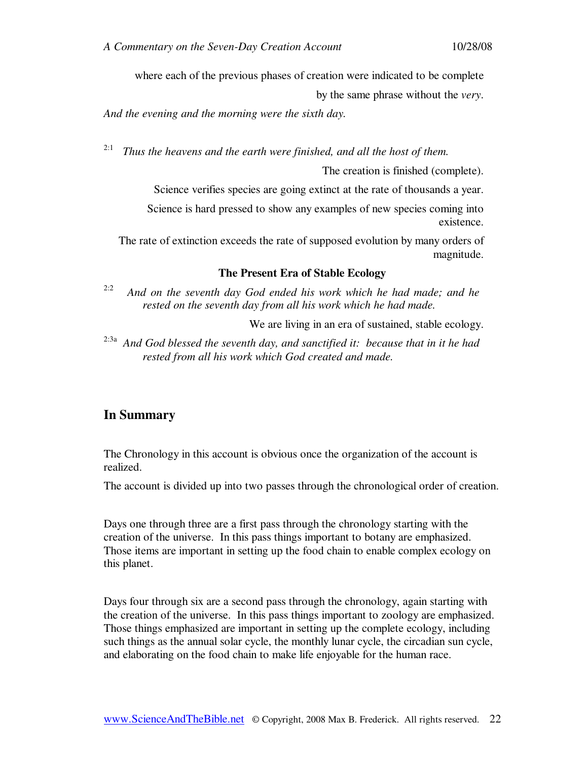where each of the previous phases of creation were indicated to be complete

by the same phrase without the *very*.

*And the evening and the morning were the sixth day.* 

<sup>2:1</sup> *Thus the heavens and the earth were finished, and all the host of them.* 

The creation is finished (complete).

Science verifies species are going extinct at the rate of thousands a year. Science is hard pressed to show any examples of new species coming into

existence.

The rate of extinction exceeds the rate of supposed evolution by many orders of magnitude.

#### **The Present Era of Stable Ecology**

2:2 *And on the seventh day God ended his work which he had made; and he rested on the seventh day from all his work which he had made.* 

We are living in an era of sustained, stable ecology.

2:3a *And God blessed the seventh day, and sanctified it: because that in it he had rested from all his work which God created and made.* 

## **In Summary**

The Chronology in this account is obvious once the organization of the account is realized.

The account is divided up into two passes through the chronological order of creation.

Days one through three are a first pass through the chronology starting with the creation of the universe. In this pass things important to botany are emphasized. Those items are important in setting up the food chain to enable complex ecology on this planet.

Days four through six are a second pass through the chronology, again starting with the creation of the universe. In this pass things important to zoology are emphasized. Those things emphasized are important in setting up the complete ecology, including such things as the annual solar cycle, the monthly lunar cycle, the circadian sun cycle, and elaborating on the food chain to make life enjoyable for the human race.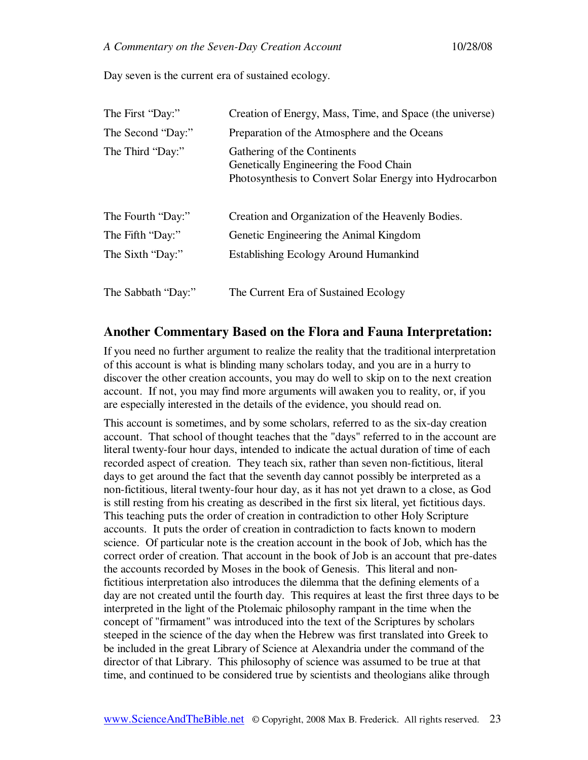Day seven is the current era of sustained ecology.

| The First "Day:"   | Creation of Energy, Mass, Time, and Space (the universe)                                                                         |
|--------------------|----------------------------------------------------------------------------------------------------------------------------------|
| The Second "Day:"  | Preparation of the Atmosphere and the Oceans                                                                                     |
| The Third "Day:"   | Gathering of the Continents<br>Genetically Engineering the Food Chain<br>Photosynthesis to Convert Solar Energy into Hydrocarbon |
| The Fourth "Day:"  | Creation and Organization of the Heavenly Bodies.                                                                                |
| The Fifth "Day:"   | Genetic Engineering the Animal Kingdom                                                                                           |
| The Sixth "Day:"   | <b>Establishing Ecology Around Humankind</b>                                                                                     |
| The Sabbath "Day:" | The Current Era of Sustained Ecology                                                                                             |

## **Another Commentary Based on the Flora and Fauna Interpretation:**

If you need no further argument to realize the reality that the traditional interpretation of this account is what is blinding many scholars today, and you are in a hurry to discover the other creation accounts, you may do well to skip on to the next creation account. If not, you may find more arguments will awaken you to reality, or, if you are especially interested in the details of the evidence, you should read on.

This account is sometimes, and by some scholars, referred to as the six-day creation account. That school of thought teaches that the "days" referred to in the account are literal twenty-four hour days, intended to indicate the actual duration of time of each recorded aspect of creation. They teach six, rather than seven non-fictitious, literal days to get around the fact that the seventh day cannot possibly be interpreted as a non-fictitious, literal twenty-four hour day, as it has not yet drawn to a close, as God is still resting from his creating as described in the first six literal, yet fictitious days. This teaching puts the order of creation in contradiction to other Holy Scripture accounts. It puts the order of creation in contradiction to facts known to modern science. Of particular note is the creation account in the book of Job, which has the correct order of creation. That account in the book of Job is an account that pre-dates the accounts recorded by Moses in the book of Genesis. This literal and nonfictitious interpretation also introduces the dilemma that the defining elements of a day are not created until the fourth day. This requires at least the first three days to be interpreted in the light of the Ptolemaic philosophy rampant in the time when the concept of "firmament" was introduced into the text of the Scriptures by scholars steeped in the science of the day when the Hebrew was first translated into Greek to be included in the great Library of Science at Alexandria under the command of the director of that Library. This philosophy of science was assumed to be true at that time, and continued to be considered true by scientists and theologians alike through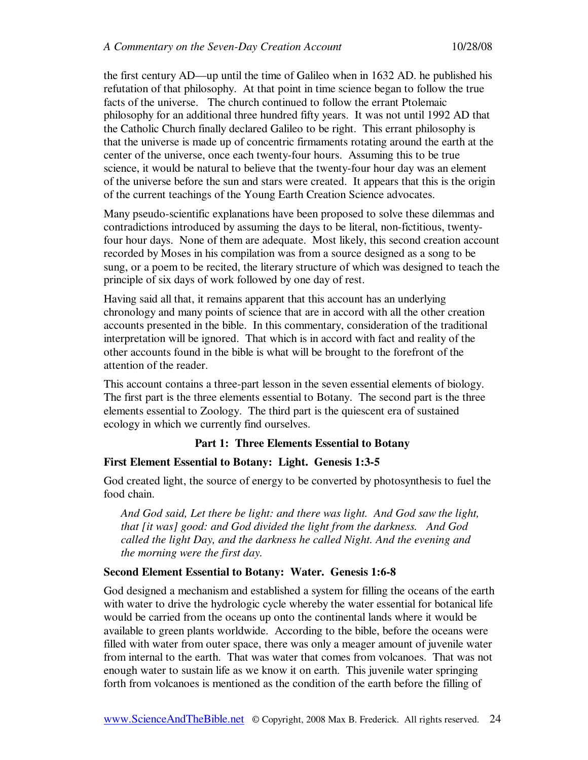the first century AD—up until the time of Galileo when in 1632 AD. he published his refutation of that philosophy. At that point in time science began to follow the true facts of the universe. The church continued to follow the errant Ptolemaic philosophy for an additional three hundred fifty years. It was not until 1992 AD that the Catholic Church finally declared Galileo to be right. This errant philosophy is that the universe is made up of concentric firmaments rotating around the earth at the center of the universe, once each twenty-four hours. Assuming this to be true science, it would be natural to believe that the twenty-four hour day was an element of the universe before the sun and stars were created. It appears that this is the origin of the current teachings of the Young Earth Creation Science advocates.

Many pseudo-scientific explanations have been proposed to solve these dilemmas and contradictions introduced by assuming the days to be literal, non-fictitious, twentyfour hour days. None of them are adequate. Most likely, this second creation account recorded by Moses in his compilation was from a source designed as a song to be sung, or a poem to be recited, the literary structure of which was designed to teach the principle of six days of work followed by one day of rest.

Having said all that, it remains apparent that this account has an underlying chronology and many points of science that are in accord with all the other creation accounts presented in the bible. In this commentary, consideration of the traditional interpretation will be ignored. That which is in accord with fact and reality of the other accounts found in the bible is what will be brought to the forefront of the attention of the reader.

This account contains a three-part lesson in the seven essential elements of biology. The first part is the three elements essential to Botany. The second part is the three elements essential to Zoology. The third part is the quiescent era of sustained ecology in which we currently find ourselves.

## **Part 1: Three Elements Essential to Botany**

## **First Element Essential to Botany: Light. Genesis 1:3-5**

God created light, the source of energy to be converted by photosynthesis to fuel the food chain.

*And God said, Let there be light: and there was light. And God saw the light, that [it was] good: and God divided the light from the darkness. And God called the light Day, and the darkness he called Night. And the evening and the morning were the first day.* 

## **Second Element Essential to Botany: Water. Genesis 1:6-8**

God designed a mechanism and established a system for filling the oceans of the earth with water to drive the hydrologic cycle whereby the water essential for botanical life would be carried from the oceans up onto the continental lands where it would be available to green plants worldwide. According to the bible, before the oceans were filled with water from outer space, there was only a meager amount of juvenile water from internal to the earth. That was water that comes from volcanoes. That was not enough water to sustain life as we know it on earth. This juvenile water springing forth from volcanoes is mentioned as the condition of the earth before the filling of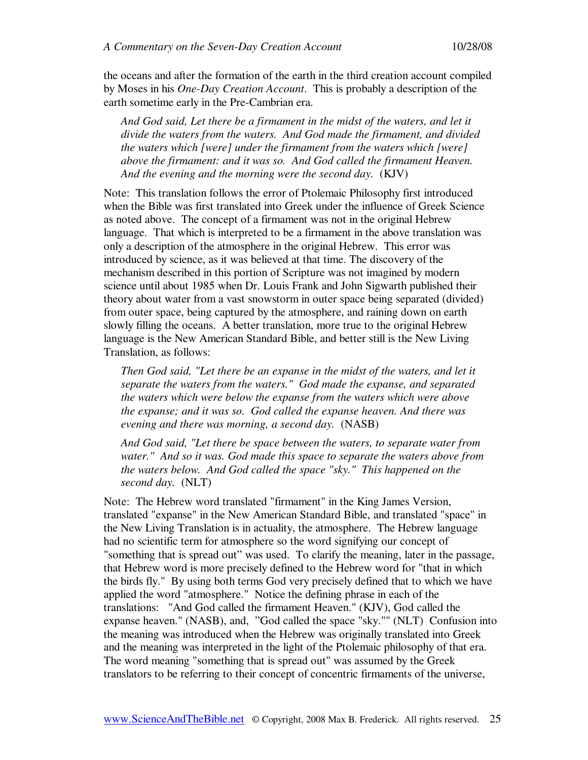the oceans and after the formation of the earth in the third creation account compiled by Moses in his *One-Day Creation Account*. This is probably a description of the earth sometime early in the Pre-Cambrian era.

And God said, Let there be a firmament in the midst of the waters, and let it *divide the waters from the waters. And God made the firmament, and divided the waters which [were] under the firmament from the waters which [were] above the firmament: and it was so. And God called the firmament Heaven. And the evening and the morning were the second day.* (KJV)

Note: This translation follows the error of Ptolemaic Philosophy first introduced when the Bible was first translated into Greek under the influence of Greek Science as noted above. The concept of a firmament was not in the original Hebrew language. That which is interpreted to be a firmament in the above translation was only a description of the atmosphere in the original Hebrew. This error was introduced by science, as it was believed at that time. The discovery of the mechanism described in this portion of Scripture was not imagined by modern science until about 1985 when Dr. Louis Frank and John Sigwarth published their theory about water from a vast snowstorm in outer space being separated (divided) from outer space, being captured by the atmosphere, and raining down on earth slowly filling the oceans. A better translation, more true to the original Hebrew language is the New American Standard Bible, and better still is the New Living Translation, as follows:

*Then God said, "Let there be an expanse in the midst of the waters, and let it separate the waters from the waters." God made the expanse, and separated the waters which were below the expanse from the waters which were above the expanse; and it was so. God called the expanse heaven. And there was evening and there was morning, a second day.* (NASB)

*And God said, "Let there be space between the waters, to separate water from water." And so it was. God made this space to separate the waters above from the waters below. And God called the space "sky." This happened on the second day.* (NLT)

Note: The Hebrew word translated "firmament" in the King James Version, translated "expanse" in the New American Standard Bible, and translated "space" in the New Living Translation is in actuality, the atmosphere. The Hebrew language had no scientific term for atmosphere so the word signifying our concept of "something that is spread out" was used. To clarify the meaning, later in the passage, that Hebrew word is more precisely defined to the Hebrew word for "that in which the birds fly." By using both terms God very precisely defined that to which we have applied the word "atmosphere." Notice the defining phrase in each of the translations: "And God called the firmament Heaven." (KJV), God called the expanse heaven." (NASB), and, "God called the space "sky."" (NLT) Confusion into the meaning was introduced when the Hebrew was originally translated into Greek and the meaning was interpreted in the light of the Ptolemaic philosophy of that era. The word meaning "something that is spread out" was assumed by the Greek translators to be referring to their concept of concentric firmaments of the universe,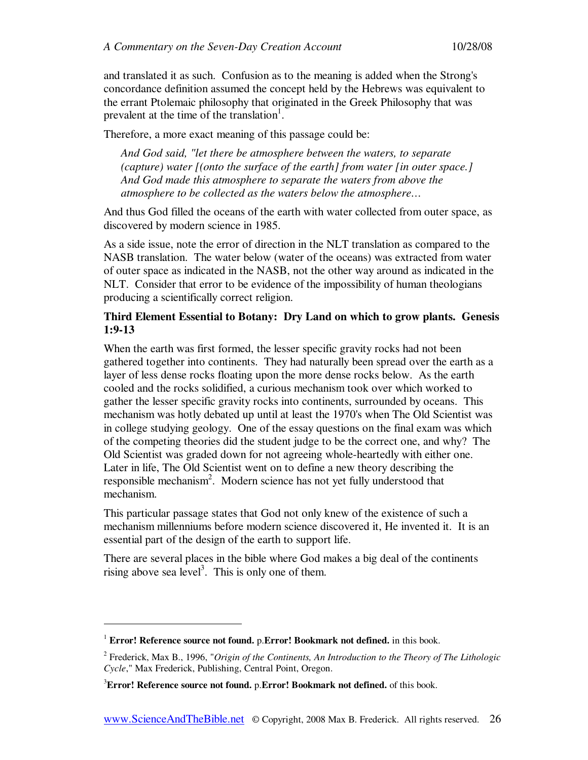and translated it as such. Confusion as to the meaning is added when the Strong's concordance definition assumed the concept held by the Hebrews was equivalent to the errant Ptolemaic philosophy that originated in the Greek Philosophy that was prevalent at the time of the translation<sup>1</sup>.

Therefore, a more exact meaning of this passage could be:

*And God said, "let there be atmosphere between the waters, to separate (capture) water [(onto the surface of the earth] from water [in outer space.] And God made this atmosphere to separate the waters from above the atmosphere to be collected as the waters below the atmosphere…* 

And thus God filled the oceans of the earth with water collected from outer space, as discovered by modern science in 1985.

As a side issue, note the error of direction in the NLT translation as compared to the NASB translation. The water below (water of the oceans) was extracted from water of outer space as indicated in the NASB, not the other way around as indicated in the NLT. Consider that error to be evidence of the impossibility of human theologians producing a scientifically correct religion.

## **Third Element Essential to Botany: Dry Land on which to grow plants. Genesis 1:9-13**

When the earth was first formed, the lesser specific gravity rocks had not been gathered together into continents. They had naturally been spread over the earth as a layer of less dense rocks floating upon the more dense rocks below. As the earth cooled and the rocks solidified, a curious mechanism took over which worked to gather the lesser specific gravity rocks into continents, surrounded by oceans. This mechanism was hotly debated up until at least the 1970's when The Old Scientist was in college studying geology. One of the essay questions on the final exam was which of the competing theories did the student judge to be the correct one, and why? The Old Scientist was graded down for not agreeing whole-heartedly with either one. Later in life, The Old Scientist went on to define a new theory describing the responsible mechanism<sup>2</sup>. Modern science has not yet fully understood that mechanism.

This particular passage states that God not only knew of the existence of such a mechanism millenniums before modern science discovered it, He invented it. It is an essential part of the design of the earth to support life.

There are several places in the bible where God makes a big deal of the continents rising above sea level<sup>3</sup>. This is only one of them.

-

<sup>1</sup> **Error! Reference source not found.** p.**Error! Bookmark not defined.** in this book.

<sup>2</sup> Frederick, Max B., 1996, "*Origin of the Continents, An Introduction to the Theory of The Lithologic Cycle*," Max Frederick, Publishing, Central Point, Oregon.

<sup>3</sup>**Error! Reference source not found.** p.**Error! Bookmark not defined.** of this book.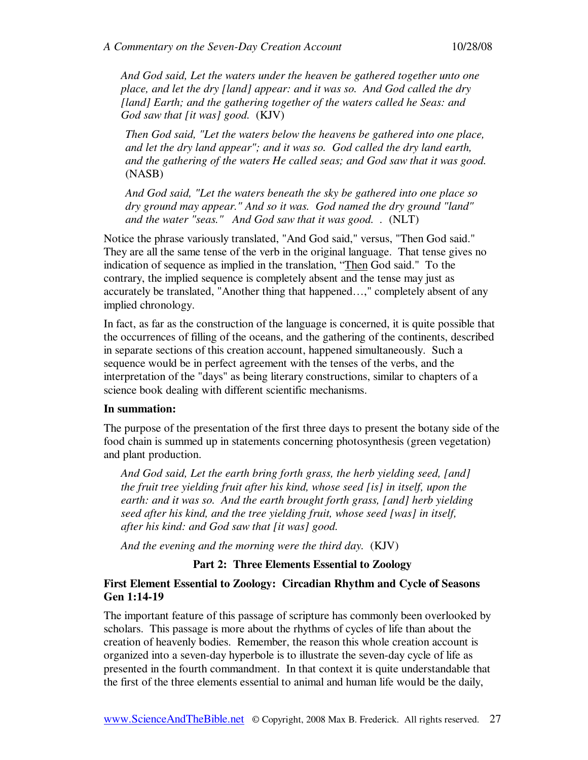*And God said, Let the waters under the heaven be gathered together unto one place, and let the dry [land] appear: and it was so. And God called the dry [land] Earth; and the gathering together of the waters called he Seas: and God saw that [it was] good.* (KJV)

*Then God said, "Let the waters below the heavens be gathered into one place, and let the dry land appear"; and it was so. God called the dry land earth, and the gathering of the waters He called seas; and God saw that it was good.*  (NASB)

*And God said, "Let the waters beneath the sky be gathered into one place so dry ground may appear." And so it was. God named the dry ground "land" and the water "seas." And God saw that it was good...* (NLT)

Notice the phrase variously translated, "And God said," versus, "Then God said." They are all the same tense of the verb in the original language. That tense gives no indication of sequence as implied in the translation, "Then God said." To the contrary, the implied sequence is completely absent and the tense may just as accurately be translated, "Another thing that happened…," completely absent of any implied chronology.

In fact, as far as the construction of the language is concerned, it is quite possible that the occurrences of filling of the oceans, and the gathering of the continents, described in separate sections of this creation account, happened simultaneously. Such a sequence would be in perfect agreement with the tenses of the verbs, and the interpretation of the "days" as being literary constructions, similar to chapters of a science book dealing with different scientific mechanisms.

## **In summation:**

The purpose of the presentation of the first three days to present the botany side of the food chain is summed up in statements concerning photosynthesis (green vegetation) and plant production.

*And God said, Let the earth bring forth grass, the herb yielding seed, [and] the fruit tree yielding fruit after his kind, whose seed [is] in itself, upon the earth: and it was so. And the earth brought forth grass, [and] herb yielding seed after his kind, and the tree yielding fruit, whose seed [was] in itself, after his kind: and God saw that [it was] good.* 

*And the evening and the morning were the third day.* (KJV)

## **Part 2: Three Elements Essential to Zoology**

## **First Element Essential to Zoology: Circadian Rhythm and Cycle of Seasons Gen 1:14-19**

The important feature of this passage of scripture has commonly been overlooked by scholars. This passage is more about the rhythms of cycles of life than about the creation of heavenly bodies. Remember, the reason this whole creation account is organized into a seven-day hyperbole is to illustrate the seven-day cycle of life as presented in the fourth commandment. In that context it is quite understandable that the first of the three elements essential to animal and human life would be the daily,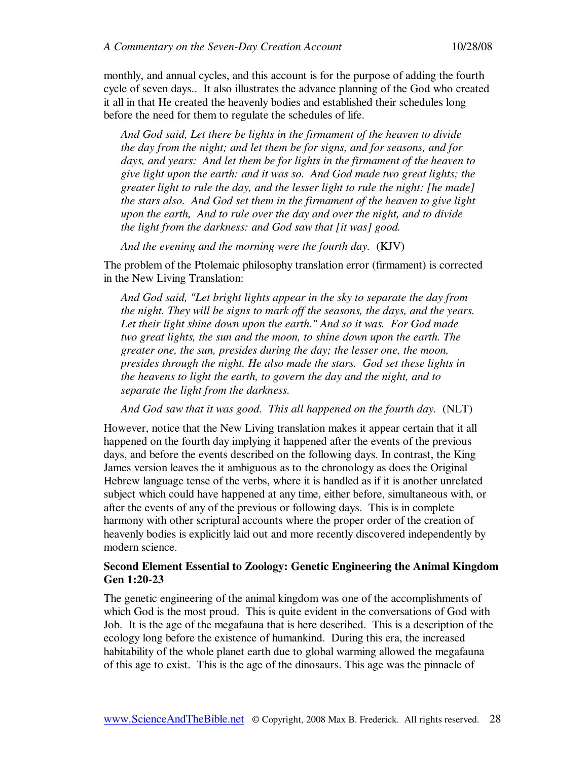monthly, and annual cycles, and this account is for the purpose of adding the fourth cycle of seven days.. It also illustrates the advance planning of the God who created it all in that He created the heavenly bodies and established their schedules long before the need for them to regulate the schedules of life.

*And God said, Let there be lights in the firmament of the heaven to divide the day from the night; and let them be for signs, and for seasons, and for days, and years: And let them be for lights in the firmament of the heaven to give light upon the earth: and it was so. And God made two great lights; the greater light to rule the day, and the lesser light to rule the night: [he made] the stars also. And God set them in the firmament of the heaven to give light upon the earth, And to rule over the day and over the night, and to divide the light from the darkness: and God saw that [it was] good.* 

*And the evening and the morning were the fourth day.* (KJV)

The problem of the Ptolemaic philosophy translation error (firmament) is corrected in the New Living Translation:

*And God said, "Let bright lights appear in the sky to separate the day from the night. They will be signs to mark off the seasons, the days, and the years. Let their light shine down upon the earth." And so it was. For God made two great lights, the sun and the moon, to shine down upon the earth. The greater one, the sun, presides during the day; the lesser one, the moon, presides through the night. He also made the stars. God set these lights in the heavens to light the earth, to govern the day and the night, and to separate the light from the darkness.* 

*And God saw that it was good. This all happened on the fourth day.* (NLT)

However, notice that the New Living translation makes it appear certain that it all happened on the fourth day implying it happened after the events of the previous days, and before the events described on the following days. In contrast, the King James version leaves the it ambiguous as to the chronology as does the Original Hebrew language tense of the verbs, where it is handled as if it is another unrelated subject which could have happened at any time, either before, simultaneous with, or after the events of any of the previous or following days. This is in complete harmony with other scriptural accounts where the proper order of the creation of heavenly bodies is explicitly laid out and more recently discovered independently by modern science.

## **Second Element Essential to Zoology: Genetic Engineering the Animal Kingdom Gen 1:20-23**

The genetic engineering of the animal kingdom was one of the accomplishments of which God is the most proud. This is quite evident in the conversations of God with Job. It is the age of the megafauna that is here described. This is a description of the ecology long before the existence of humankind. During this era, the increased habitability of the whole planet earth due to global warming allowed the megafauna of this age to exist. This is the age of the dinosaurs. This age was the pinnacle of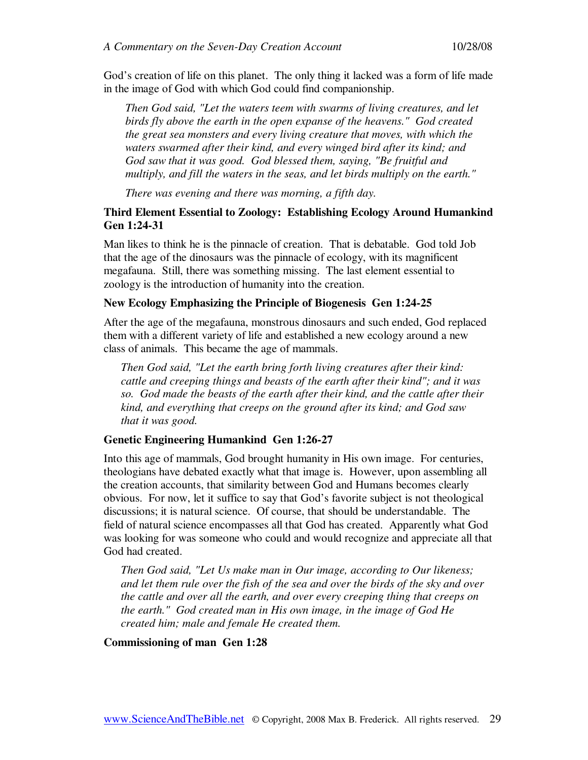God's creation of life on this planet. The only thing it lacked was a form of life made in the image of God with which God could find companionship.

*Then God said, "Let the waters teem with swarms of living creatures, and let birds fly above the earth in the open expanse of the heavens." God created the great sea monsters and every living creature that moves, with which the waters swarmed after their kind, and every winged bird after its kind; and God saw that it was good. God blessed them, saying, "Be fruitful and multiply, and fill the waters in the seas, and let birds multiply on the earth."* 

*There was evening and there was morning, a fifth day.* 

## **Third Element Essential to Zoology: Establishing Ecology Around Humankind Gen 1:24-31**

Man likes to think he is the pinnacle of creation. That is debatable. God told Job that the age of the dinosaurs was the pinnacle of ecology, with its magnificent megafauna. Still, there was something missing. The last element essential to zoology is the introduction of humanity into the creation.

#### **New Ecology Emphasizing the Principle of Biogenesis Gen 1:24-25**

After the age of the megafauna, monstrous dinosaurs and such ended, God replaced them with a different variety of life and established a new ecology around a new class of animals. This became the age of mammals.

*Then God said, "Let the earth bring forth living creatures after their kind: cattle and creeping things and beasts of the earth after their kind"; and it was so. God made the beasts of the earth after their kind, and the cattle after their kind, and everything that creeps on the ground after its kind; and God saw that it was good.* 

#### **Genetic Engineering Humankind Gen 1:26-27**

Into this age of mammals, God brought humanity in His own image. For centuries, theologians have debated exactly what that image is. However, upon assembling all the creation accounts, that similarity between God and Humans becomes clearly obvious. For now, let it suffice to say that God's favorite subject is not theological discussions; it is natural science. Of course, that should be understandable. The field of natural science encompasses all that God has created. Apparently what God was looking for was someone who could and would recognize and appreciate all that God had created.

*Then God said, "Let Us make man in Our image, according to Our likeness; and let them rule over the fish of the sea and over the birds of the sky and over the cattle and over all the earth, and over every creeping thing that creeps on the earth." God created man in His own image, in the image of God He created him; male and female He created them.* 

#### **Commissioning of man Gen 1:28**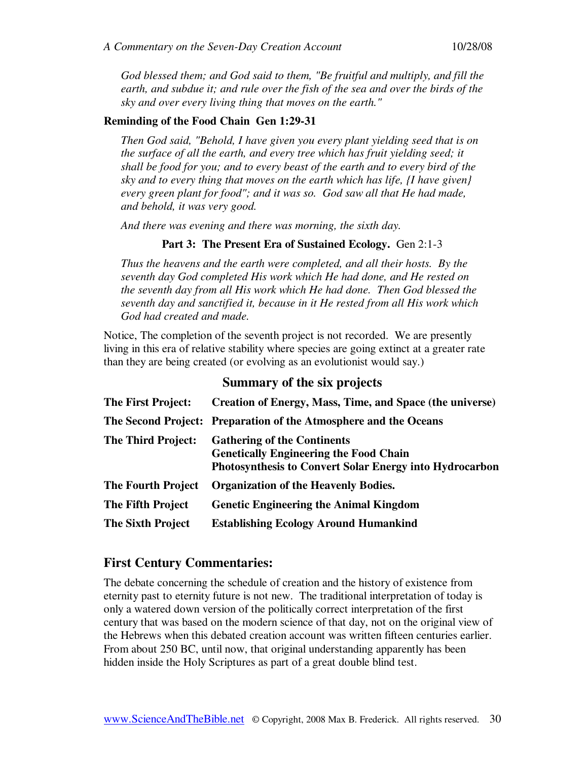*God blessed them; and God said to them, "Be fruitful and multiply, and fill the earth, and subdue it; and rule over the fish of the sea and over the birds of the sky and over every living thing that moves on the earth."* 

#### **Reminding of the Food Chain Gen 1:29-31**

*Then God said, "Behold, I have given you every plant yielding seed that is on the surface of all the earth, and every tree which has fruit yielding seed; it shall be food for you; and to every beast of the earth and to every bird of the sky and to every thing that moves on the earth which has life, {I have given} every green plant for food"; and it was so. God saw all that He had made, and behold, it was very good.* 

*And there was evening and there was morning, the sixth day.* 

#### Part 3: The Present Era of Sustained Ecology. Gen 2:1-3

*Thus the heavens and the earth were completed, and all their hosts. By the seventh day God completed His work which He had done, and He rested on the seventh day from all His work which He had done. Then God blessed the seventh day and sanctified it, because in it He rested from all His work which God had created and made.* 

Notice, The completion of the seventh project is not recorded. We are presently living in this era of relative stability where species are going extinct at a greater rate than they are being created (or evolving as an evolutionist would say.)

## **Summary of the six projects**

| <b>The First Project:</b> | Creation of Energy, Mass, Time, and Space (the universe)                                                                                              |
|---------------------------|-------------------------------------------------------------------------------------------------------------------------------------------------------|
|                           | The Second Project: Preparation of the Atmosphere and the Oceans                                                                                      |
| <b>The Third Project:</b> | <b>Gathering of the Continents</b><br><b>Genetically Engineering the Food Chain</b><br><b>Photosynthesis to Convert Solar Energy into Hydrocarbon</b> |
| <b>The Fourth Project</b> | <b>Organization of the Heavenly Bodies.</b>                                                                                                           |
| <b>The Fifth Project</b>  | <b>Genetic Engineering the Animal Kingdom</b>                                                                                                         |
| <b>The Sixth Project</b>  | <b>Establishing Ecology Around Humankind</b>                                                                                                          |

## **First Century Commentaries:**

The debate concerning the schedule of creation and the history of existence from eternity past to eternity future is not new. The traditional interpretation of today is only a watered down version of the politically correct interpretation of the first century that was based on the modern science of that day, not on the original view of the Hebrews when this debated creation account was written fifteen centuries earlier. From about 250 BC, until now, that original understanding apparently has been hidden inside the Holy Scriptures as part of a great double blind test.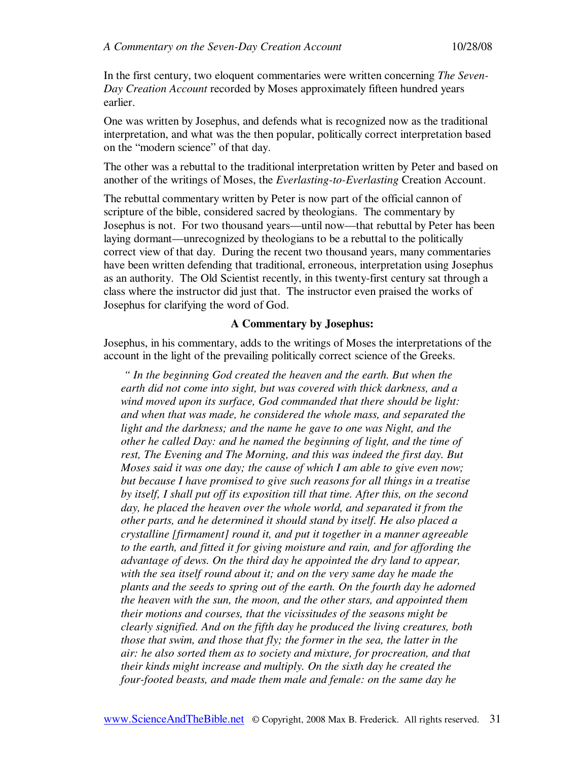In the first century, two eloquent commentaries were written concerning *The Seven-Day Creation Account* recorded by Moses approximately fifteen hundred years earlier.

One was written by Josephus, and defends what is recognized now as the traditional interpretation, and what was the then popular, politically correct interpretation based on the "modern science" of that day.

The other was a rebuttal to the traditional interpretation written by Peter and based on another of the writings of Moses, the *Everlasting-to-Everlasting* Creation Account.

The rebuttal commentary written by Peter is now part of the official cannon of scripture of the bible, considered sacred by theologians. The commentary by Josephus is not. For two thousand years—until now—that rebuttal by Peter has been laying dormant—unrecognized by theologians to be a rebuttal to the politically correct view of that day. During the recent two thousand years, many commentaries have been written defending that traditional, erroneous, interpretation using Josephus as an authority. The Old Scientist recently, in this twenty-first century sat through a class where the instructor did just that. The instructor even praised the works of Josephus for clarifying the word of God.

#### **A Commentary by Josephus:**

Josephus, in his commentary, adds to the writings of Moses the interpretations of the account in the light of the prevailing politically correct science of the Greeks.

 *" In the beginning God created the heaven and the earth. But when the earth did not come into sight, but was covered with thick darkness, and a wind moved upon its surface, God commanded that there should be light: and when that was made, he considered the whole mass, and separated the light and the darkness; and the name he gave to one was Night, and the other he called Day: and he named the beginning of light, and the time of rest, The Evening and The Morning, and this was indeed the first day. But Moses said it was one day; the cause of which I am able to give even now; but because I have promised to give such reasons for all things in a treatise by itself, I shall put off its exposition till that time. After this, on the second day, he placed the heaven over the whole world, and separated it from the other parts, and he determined it should stand by itself. He also placed a crystalline [firmament] round it, and put it together in a manner agreeable to the earth, and fitted it for giving moisture and rain, and for affording the advantage of dews. On the third day he appointed the dry land to appear, with the sea itself round about it; and on the very same day he made the plants and the seeds to spring out of the earth. On the fourth day he adorned the heaven with the sun, the moon, and the other stars, and appointed them their motions and courses, that the vicissitudes of the seasons might be clearly signified. And on the fifth day he produced the living creatures, both those that swim, and those that fly; the former in the sea, the latter in the air: he also sorted them as to society and mixture, for procreation, and that their kinds might increase and multiply. On the sixth day he created the four-footed beasts, and made them male and female: on the same day he*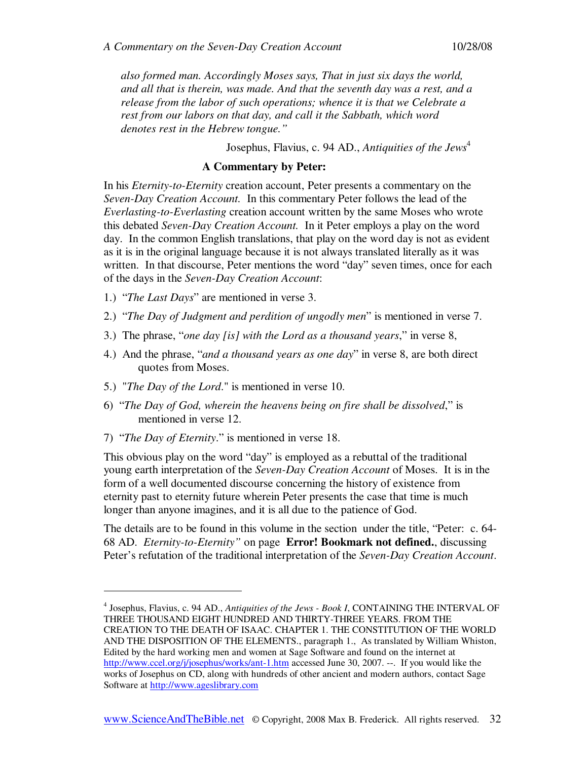*also formed man. Accordingly Moses says, That in just six days the world, and all that is therein, was made. And that the seventh day was a rest, and a release from the labor of such operations; whence it is that we Celebrate a rest from our labors on that day, and call it the Sabbath, which word denotes rest in the Hebrew tongue."* 

Josephus, Flavius, c. 94 AD., *Antiquities of the Jews*<sup>4</sup>

#### **A Commentary by Peter:**

In his *Eternity-to-Eternity* creation account, Peter presents a commentary on the *Seven-Day Creation Account.* In this commentary Peter follows the lead of the *Everlasting-to-Everlasting* creation account written by the same Moses who wrote this debated *Seven-Day Creation Account.* In it Peter employs a play on the word day. In the common English translations, that play on the word day is not as evident as it is in the original language because it is not always translated literally as it was written. In that discourse, Peter mentions the word "day" seven times, once for each of the days in the *Seven-Day Creation Account*:

- 1.) "*The Last Days*" are mentioned in verse 3.
- 2.) "*The Day of Judgment and perdition of ungodly men*" is mentioned in verse 7.
- 3.) The phrase, "*one day [is] with the Lord as a thousand years*," in verse 8,
- 4.) And the phrase, "*and a thousand years as one day*" in verse 8, are both direct quotes from Moses.
- 5.) "*The Day of the Lord*." is mentioned in verse 10.
- 6) "*The Day of God, wherein the heavens being on fire shall be dissolved*," is mentioned in verse 12.
- 7) "*The Day of Eternity*." is mentioned in verse 18.

-

This obvious play on the word "day" is employed as a rebuttal of the traditional young earth interpretation of the *Seven-Day Creation Account* of Moses. It is in the form of a well documented discourse concerning the history of existence from eternity past to eternity future wherein Peter presents the case that time is much longer than anyone imagines, and it is all due to the patience of God.

The details are to be found in this volume in the section under the title, "Peter: c. 64- 68 AD. *Eternity-to-Eternity"* on page **Error! Bookmark not defined.**, discussing Peter's refutation of the traditional interpretation of the *Seven-Day Creation Account*.

<sup>4</sup> Josephus, Flavius, c. 94 AD., *Antiquities of the Jews - Book I*, CONTAINING THE INTERVAL OF THREE THOUSAND EIGHT HUNDRED AND THIRTY-THREE YEARS. FROM THE CREATION TO THE DEATH OF ISAAC. CHAPTER 1. THE CONSTITUTION OF THE WORLD AND THE DISPOSITION OF THE ELEMENTS., paragraph 1., As translated by William Whiston, Edited by the hard working men and women at Sage Software and found on the internet at http://www.ccel.org/j/josephus/works/ant-1.htm accessed June 30, 2007. --. If you would like the works of Josephus on CD, along with hundreds of other ancient and modern authors, contact Sage Software at http://www.ageslibrary.com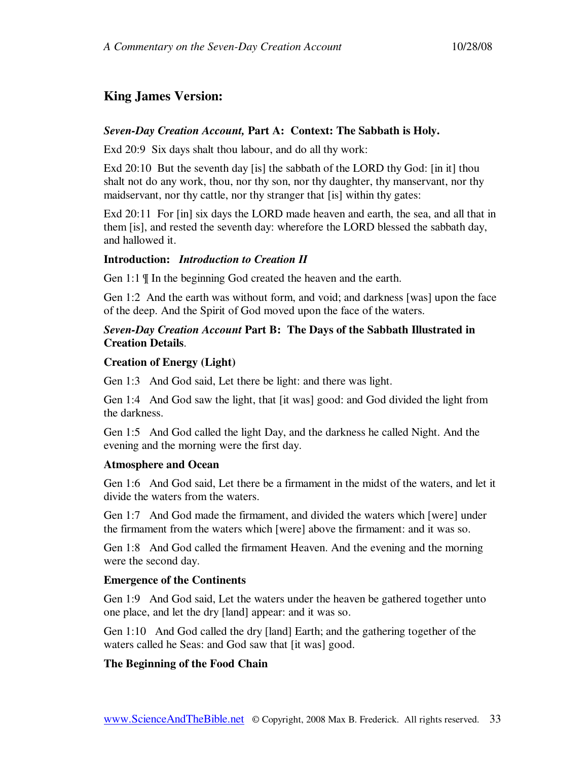# **King James Version:**

## *Seven-Day Creation Account,* **Part A: Context: The Sabbath is Holy.**

Exd 20:9 Six days shalt thou labour, and do all thy work:

Exd 20:10 But the seventh day [is] the sabbath of the LORD thy God: [in it] thou shalt not do any work, thou, nor thy son, nor thy daughter, thy manservant, nor thy maidservant, nor thy cattle, nor thy stranger that [is] within thy gates:

Exd 20:11 For [in] six days the LORD made heaven and earth, the sea, and all that in them [is], and rested the seventh day: wherefore the LORD blessed the sabbath day, and hallowed it.

## **Introduction:** *Introduction to Creation II*

Gen 1:1 ¶ In the beginning God created the heaven and the earth.

Gen 1:2 And the earth was without form, and void; and darkness [was] upon the face of the deep. And the Spirit of God moved upon the face of the waters.

## *Seven-Day Creation Account* **Part B: The Days of the Sabbath Illustrated in Creation Details**.

## **Creation of Energy (Light)**

Gen 1:3 And God said, Let there be light: and there was light.

Gen 1:4 And God saw the light, that [it was] good: and God divided the light from the darkness.

Gen 1:5 And God called the light Day, and the darkness he called Night. And the evening and the morning were the first day.

## **Atmosphere and Ocean**

Gen 1:6 And God said, Let there be a firmament in the midst of the waters, and let it divide the waters from the waters.

Gen 1:7 And God made the firmament, and divided the waters which [were] under the firmament from the waters which [were] above the firmament: and it was so.

Gen 1:8 And God called the firmament Heaven. And the evening and the morning were the second day.

## **Emergence of the Continents**

Gen 1:9 And God said, Let the waters under the heaven be gathered together unto one place, and let the dry [land] appear: and it was so.

Gen 1:10 And God called the dry [land] Earth; and the gathering together of the waters called he Seas: and God saw that [it was] good.

## **The Beginning of the Food Chain**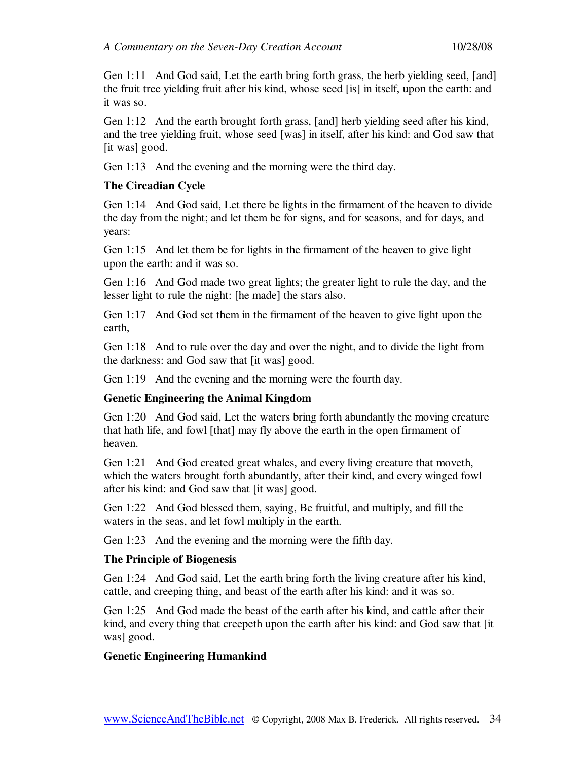Gen 1:11 And God said, Let the earth bring forth grass, the herb yielding seed, [and] the fruit tree yielding fruit after his kind, whose seed [is] in itself, upon the earth: and it was so.

Gen 1:12 And the earth brought forth grass, [and] herb yielding seed after his kind, and the tree yielding fruit, whose seed [was] in itself, after his kind: and God saw that [it was] good.

Gen 1:13 And the evening and the morning were the third day.

## **The Circadian Cycle**

Gen 1:14 And God said, Let there be lights in the firmament of the heaven to divide the day from the night; and let them be for signs, and for seasons, and for days, and years:

Gen 1:15 And let them be for lights in the firmament of the heaven to give light upon the earth: and it was so.

Gen 1:16 And God made two great lights; the greater light to rule the day, and the lesser light to rule the night: [he made] the stars also.

Gen 1:17 And God set them in the firmament of the heaven to give light upon the earth,

Gen 1:18 And to rule over the day and over the night, and to divide the light from the darkness: and God saw that [it was] good.

Gen 1:19 And the evening and the morning were the fourth day.

## **Genetic Engineering the Animal Kingdom**

Gen 1:20 And God said, Let the waters bring forth abundantly the moving creature that hath life, and fowl [that] may fly above the earth in the open firmament of heaven.

Gen 1:21 And God created great whales, and every living creature that moveth, which the waters brought forth abundantly, after their kind, and every winged fowl after his kind: and God saw that [it was] good.

Gen 1:22 And God blessed them, saying, Be fruitful, and multiply, and fill the waters in the seas, and let fowl multiply in the earth.

Gen 1:23 And the evening and the morning were the fifth day.

## **The Principle of Biogenesis**

Gen 1:24 And God said, Let the earth bring forth the living creature after his kind, cattle, and creeping thing, and beast of the earth after his kind: and it was so.

Gen 1:25 And God made the beast of the earth after his kind, and cattle after their kind, and every thing that creepeth upon the earth after his kind: and God saw that [it was] good.

## **Genetic Engineering Humankind**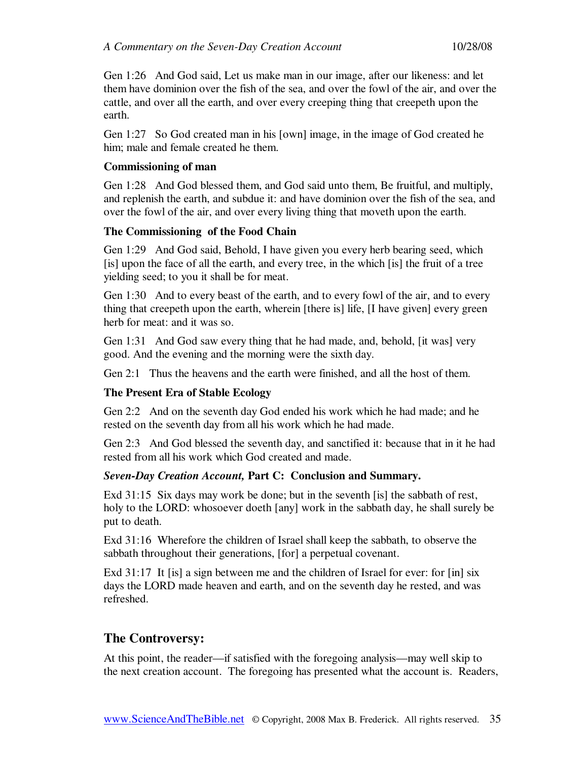Gen 1:26 And God said, Let us make man in our image, after our likeness: and let them have dominion over the fish of the sea, and over the fowl of the air, and over the cattle, and over all the earth, and over every creeping thing that creepeth upon the earth.

Gen 1:27 So God created man in his [own] image, in the image of God created he him; male and female created he them.

#### **Commissioning of man**

Gen 1:28 And God blessed them, and God said unto them, Be fruitful, and multiply, and replenish the earth, and subdue it: and have dominion over the fish of the sea, and over the fowl of the air, and over every living thing that moveth upon the earth.

## **The Commissioning of the Food Chain**

Gen 1:29 And God said, Behold, I have given you every herb bearing seed, which [is] upon the face of all the earth, and every tree, in the which [is] the fruit of a tree yielding seed; to you it shall be for meat.

Gen 1:30 And to every beast of the earth, and to every fowl of the air, and to every thing that creepeth upon the earth, wherein [there is] life, [I have given] every green herb for meat: and it was so.

Gen 1:31 And God saw every thing that he had made, and, behold, [it was] very good. And the evening and the morning were the sixth day.

Gen 2:1 Thus the heavens and the earth were finished, and all the host of them.

## **The Present Era of Stable Ecology**

Gen 2:2 And on the seventh day God ended his work which he had made; and he rested on the seventh day from all his work which he had made.

Gen 2:3 And God blessed the seventh day, and sanctified it: because that in it he had rested from all his work which God created and made.

## *Seven-Day Creation Account,* **Part C: Conclusion and Summary.**

Exd 31:15 Six days may work be done; but in the seventh [is] the sabbath of rest, holy to the LORD: whosoever doeth [any] work in the sabbath day, he shall surely be put to death.

Exd 31:16 Wherefore the children of Israel shall keep the sabbath, to observe the sabbath throughout their generations, [for] a perpetual covenant.

Exd 31:17 It [is] a sign between me and the children of Israel for ever: for [in] six days the LORD made heaven and earth, and on the seventh day he rested, and was refreshed.

## **The Controversy:**

At this point, the reader—if satisfied with the foregoing analysis—may well skip to the next creation account. The foregoing has presented what the account is. Readers,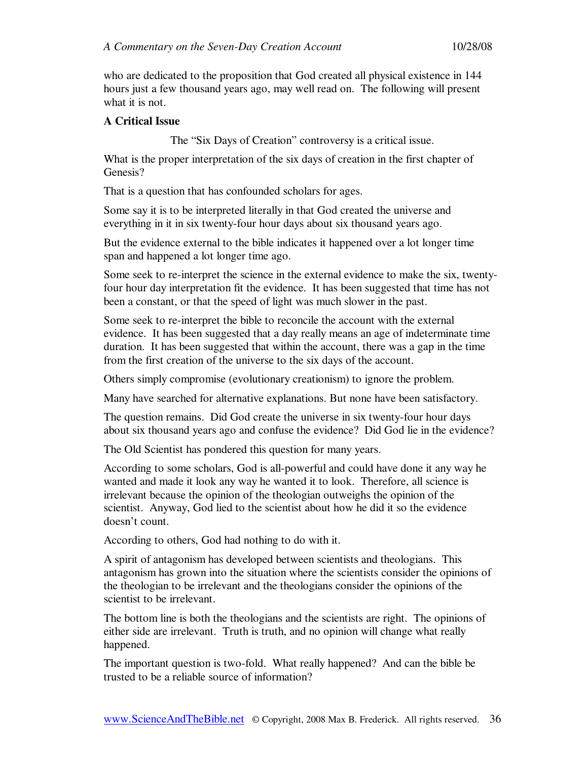who are dedicated to the proposition that God created all physical existence in 144 hours just a few thousand years ago, may well read on. The following will present what it is not.

## **A Critical Issue**

The "Six Days of Creation" controversy is a critical issue.

What is the proper interpretation of the six days of creation in the first chapter of Genesis?

That is a question that has confounded scholars for ages.

Some say it is to be interpreted literally in that God created the universe and everything in it in six twenty-four hour days about six thousand years ago.

But the evidence external to the bible indicates it happened over a lot longer time span and happened a lot longer time ago.

Some seek to re-interpret the science in the external evidence to make the six, twentyfour hour day interpretation fit the evidence. It has been suggested that time has not been a constant, or that the speed of light was much slower in the past.

Some seek to re-interpret the bible to reconcile the account with the external evidence. It has been suggested that a day really means an age of indeterminate time duration. It has been suggested that within the account, there was a gap in the time from the first creation of the universe to the six days of the account.

Others simply compromise (evolutionary creationism) to ignore the problem.

Many have searched for alternative explanations. But none have been satisfactory.

The question remains. Did God create the universe in six twenty-four hour days about six thousand years ago and confuse the evidence? Did God lie in the evidence?

The Old Scientist has pondered this question for many years.

According to some scholars, God is all-powerful and could have done it any way he wanted and made it look any way he wanted it to look. Therefore, all science is irrelevant because the opinion of the theologian outweighs the opinion of the scientist. Anyway, God lied to the scientist about how he did it so the evidence doesn't count.

According to others, God had nothing to do with it.

A spirit of antagonism has developed between scientists and theologians. This antagonism has grown into the situation where the scientists consider the opinions of the theologian to be irrelevant and the theologians consider the opinions of the scientist to be irrelevant.

The bottom line is both the theologians and the scientists are right. The opinions of either side are irrelevant. Truth is truth, and no opinion will change what really happened.

The important question is two-fold. What really happened? And can the bible be trusted to be a reliable source of information?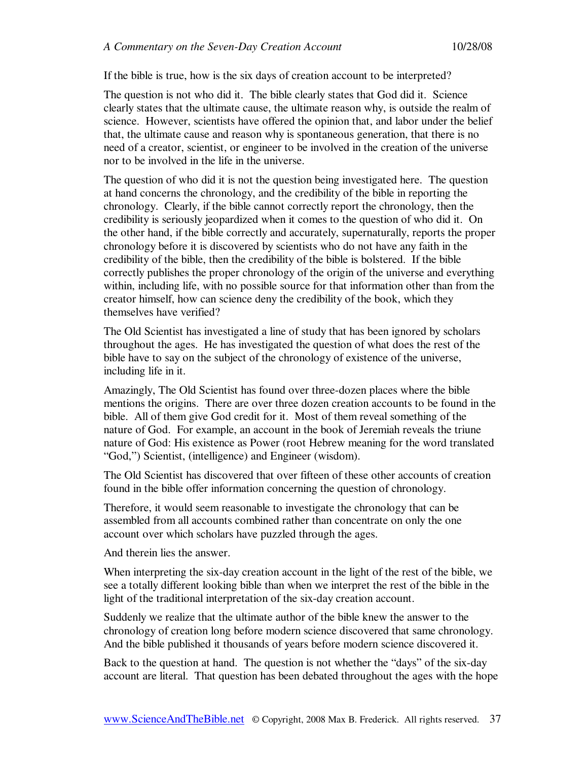If the bible is true, how is the six days of creation account to be interpreted?

The question is not who did it. The bible clearly states that God did it. Science clearly states that the ultimate cause, the ultimate reason why, is outside the realm of science. However, scientists have offered the opinion that, and labor under the belief that, the ultimate cause and reason why is spontaneous generation, that there is no need of a creator, scientist, or engineer to be involved in the creation of the universe nor to be involved in the life in the universe.

The question of who did it is not the question being investigated here. The question at hand concerns the chronology, and the credibility of the bible in reporting the chronology. Clearly, if the bible cannot correctly report the chronology, then the credibility is seriously jeopardized when it comes to the question of who did it. On the other hand, if the bible correctly and accurately, supernaturally, reports the proper chronology before it is discovered by scientists who do not have any faith in the credibility of the bible, then the credibility of the bible is bolstered. If the bible correctly publishes the proper chronology of the origin of the universe and everything within, including life, with no possible source for that information other than from the creator himself, how can science deny the credibility of the book, which they themselves have verified?

The Old Scientist has investigated a line of study that has been ignored by scholars throughout the ages. He has investigated the question of what does the rest of the bible have to say on the subject of the chronology of existence of the universe, including life in it.

Amazingly, The Old Scientist has found over three-dozen places where the bible mentions the origins. There are over three dozen creation accounts to be found in the bible. All of them give God credit for it. Most of them reveal something of the nature of God. For example, an account in the book of Jeremiah reveals the triune nature of God: His existence as Power (root Hebrew meaning for the word translated "God,") Scientist, (intelligence) and Engineer (wisdom).

The Old Scientist has discovered that over fifteen of these other accounts of creation found in the bible offer information concerning the question of chronology.

Therefore, it would seem reasonable to investigate the chronology that can be assembled from all accounts combined rather than concentrate on only the one account over which scholars have puzzled through the ages.

And therein lies the answer.

When interpreting the six-day creation account in the light of the rest of the bible, we see a totally different looking bible than when we interpret the rest of the bible in the light of the traditional interpretation of the six-day creation account.

Suddenly we realize that the ultimate author of the bible knew the answer to the chronology of creation long before modern science discovered that same chronology. And the bible published it thousands of years before modern science discovered it.

Back to the question at hand. The question is not whether the "days" of the six-day account are literal. That question has been debated throughout the ages with the hope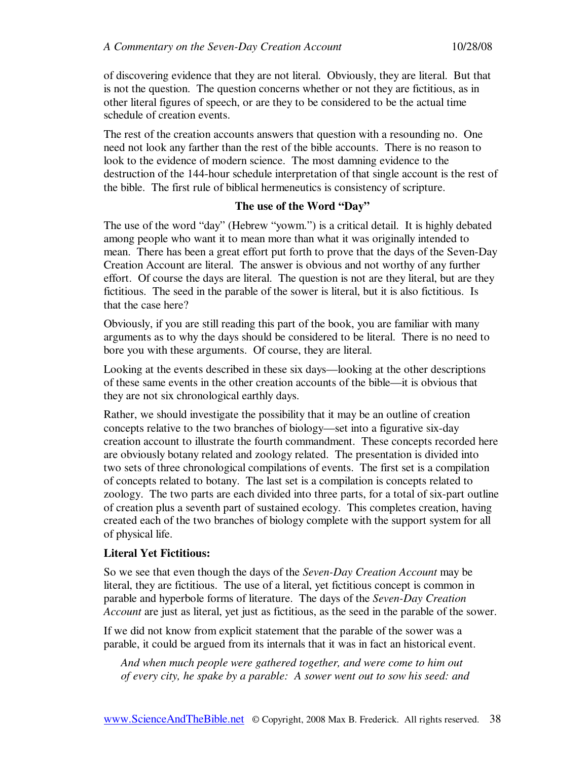of discovering evidence that they are not literal. Obviously, they are literal. But that is not the question. The question concerns whether or not they are fictitious, as in other literal figures of speech, or are they to be considered to be the actual time schedule of creation events.

The rest of the creation accounts answers that question with a resounding no. One need not look any farther than the rest of the bible accounts. There is no reason to look to the evidence of modern science. The most damning evidence to the destruction of the 144-hour schedule interpretation of that single account is the rest of the bible. The first rule of biblical hermeneutics is consistency of scripture.

## **The use of the Word "Day"**

The use of the word "day" (Hebrew "yowm.") is a critical detail. It is highly debated among people who want it to mean more than what it was originally intended to mean. There has been a great effort put forth to prove that the days of the Seven-Day Creation Account are literal. The answer is obvious and not worthy of any further effort. Of course the days are literal. The question is not are they literal, but are they fictitious. The seed in the parable of the sower is literal, but it is also fictitious. Is that the case here?

Obviously, if you are still reading this part of the book, you are familiar with many arguments as to why the days should be considered to be literal. There is no need to bore you with these arguments. Of course, they are literal.

Looking at the events described in these six days—looking at the other descriptions of these same events in the other creation accounts of the bible—it is obvious that they are not six chronological earthly days.

Rather, we should investigate the possibility that it may be an outline of creation concepts relative to the two branches of biology—set into a figurative six-day creation account to illustrate the fourth commandment. These concepts recorded here are obviously botany related and zoology related. The presentation is divided into two sets of three chronological compilations of events. The first set is a compilation of concepts related to botany. The last set is a compilation is concepts related to zoology. The two parts are each divided into three parts, for a total of six-part outline of creation plus a seventh part of sustained ecology. This completes creation, having created each of the two branches of biology complete with the support system for all of physical life.

## **Literal Yet Fictitious:**

So we see that even though the days of the *Seven-Day Creation Account* may be literal, they are fictitious. The use of a literal, yet fictitious concept is common in parable and hyperbole forms of literature. The days of the *Seven-Day Creation Account* are just as literal, yet just as fictitious, as the seed in the parable of the sower.

If we did not know from explicit statement that the parable of the sower was a parable, it could be argued from its internals that it was in fact an historical event.

*And when much people were gathered together, and were come to him out of every city, he spake by a parable: A sower went out to sow his seed: and*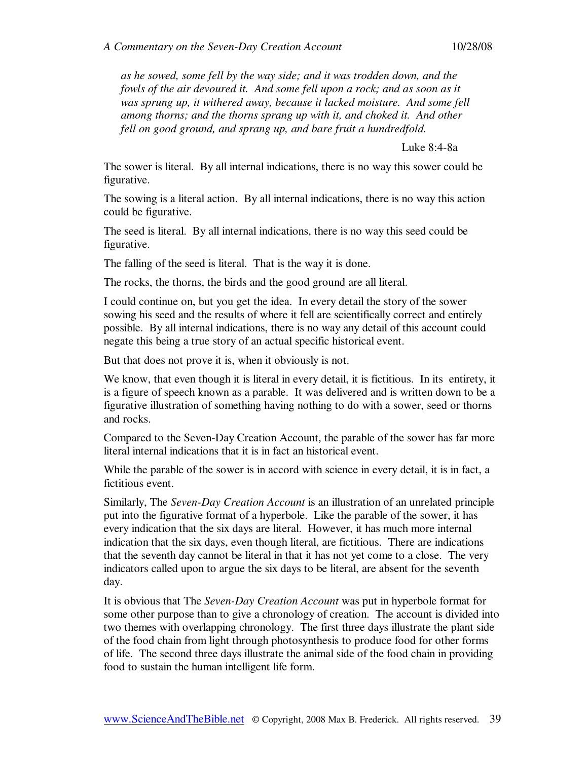*as he sowed, some fell by the way side; and it was trodden down, and the fowls of the air devoured it. And some fell upon a rock; and as soon as it was sprung up, it withered away, because it lacked moisture. And some fell among thorns; and the thorns sprang up with it, and choked it. And other fell on good ground, and sprang up, and bare fruit a hundredfold.* 

Luke 8:4-8a

The sower is literal. By all internal indications, there is no way this sower could be figurative.

The sowing is a literal action. By all internal indications, there is no way this action could be figurative.

The seed is literal. By all internal indications, there is no way this seed could be figurative.

The falling of the seed is literal. That is the way it is done.

The rocks, the thorns, the birds and the good ground are all literal.

I could continue on, but you get the idea. In every detail the story of the sower sowing his seed and the results of where it fell are scientifically correct and entirely possible. By all internal indications, there is no way any detail of this account could negate this being a true story of an actual specific historical event.

But that does not prove it is, when it obviously is not.

We know, that even though it is literal in every detail, it is fictitious. In its entirety, it is a figure of speech known as a parable. It was delivered and is written down to be a figurative illustration of something having nothing to do with a sower, seed or thorns and rocks.

Compared to the Seven-Day Creation Account, the parable of the sower has far more literal internal indications that it is in fact an historical event.

While the parable of the sower is in accord with science in every detail, it is in fact, a fictitious event.

Similarly, The *Seven-Day Creation Account* is an illustration of an unrelated principle put into the figurative format of a hyperbole. Like the parable of the sower, it has every indication that the six days are literal. However, it has much more internal indication that the six days, even though literal, are fictitious. There are indications that the seventh day cannot be literal in that it has not yet come to a close. The very indicators called upon to argue the six days to be literal, are absent for the seventh day.

It is obvious that The *Seven-Day Creation Account* was put in hyperbole format for some other purpose than to give a chronology of creation. The account is divided into two themes with overlapping chronology. The first three days illustrate the plant side of the food chain from light through photosynthesis to produce food for other forms of life. The second three days illustrate the animal side of the food chain in providing food to sustain the human intelligent life form.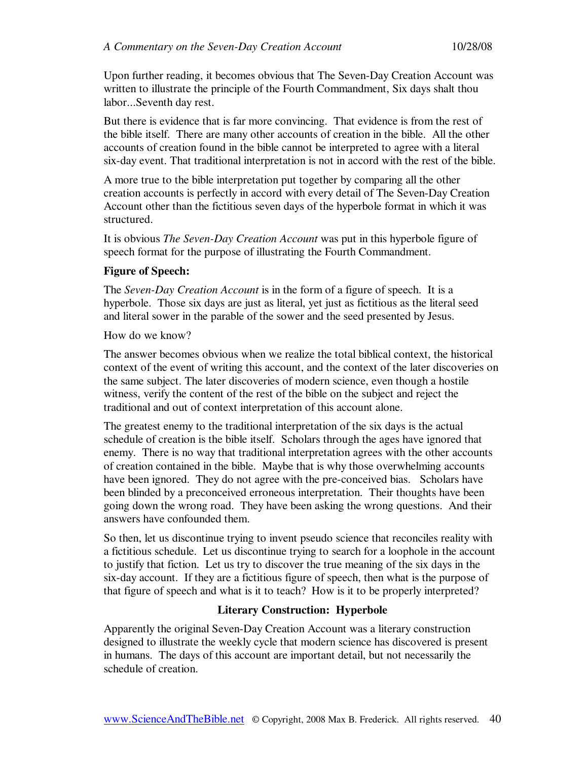Upon further reading, it becomes obvious that The Seven-Day Creation Account was written to illustrate the principle of the Fourth Commandment, Six days shalt thou labor...Seventh day rest.

But there is evidence that is far more convincing. That evidence is from the rest of the bible itself. There are many other accounts of creation in the bible. All the other accounts of creation found in the bible cannot be interpreted to agree with a literal six-day event. That traditional interpretation is not in accord with the rest of the bible.

A more true to the bible interpretation put together by comparing all the other creation accounts is perfectly in accord with every detail of The Seven-Day Creation Account other than the fictitious seven days of the hyperbole format in which it was structured.

It is obvious *The Seven-Day Creation Account* was put in this hyperbole figure of speech format for the purpose of illustrating the Fourth Commandment.

#### **Figure of Speech:**

The *Seven-Day Creation Account* is in the form of a figure of speech. It is a hyperbole. Those six days are just as literal, yet just as fictitious as the literal seed and literal sower in the parable of the sower and the seed presented by Jesus.

How do we know?

The answer becomes obvious when we realize the total biblical context, the historical context of the event of writing this account, and the context of the later discoveries on the same subject. The later discoveries of modern science, even though a hostile witness, verify the content of the rest of the bible on the subject and reject the traditional and out of context interpretation of this account alone.

The greatest enemy to the traditional interpretation of the six days is the actual schedule of creation is the bible itself. Scholars through the ages have ignored that enemy. There is no way that traditional interpretation agrees with the other accounts of creation contained in the bible. Maybe that is why those overwhelming accounts have been ignored. They do not agree with the pre-conceived bias. Scholars have been blinded by a preconceived erroneous interpretation. Their thoughts have been going down the wrong road. They have been asking the wrong questions. And their answers have confounded them.

So then, let us discontinue trying to invent pseudo science that reconciles reality with a fictitious schedule. Let us discontinue trying to search for a loophole in the account to justify that fiction. Let us try to discover the true meaning of the six days in the six-day account. If they are a fictitious figure of speech, then what is the purpose of that figure of speech and what is it to teach? How is it to be properly interpreted?

## **Literary Construction: Hyperbole**

Apparently the original Seven-Day Creation Account was a literary construction designed to illustrate the weekly cycle that modern science has discovered is present in humans. The days of this account are important detail, but not necessarily the schedule of creation.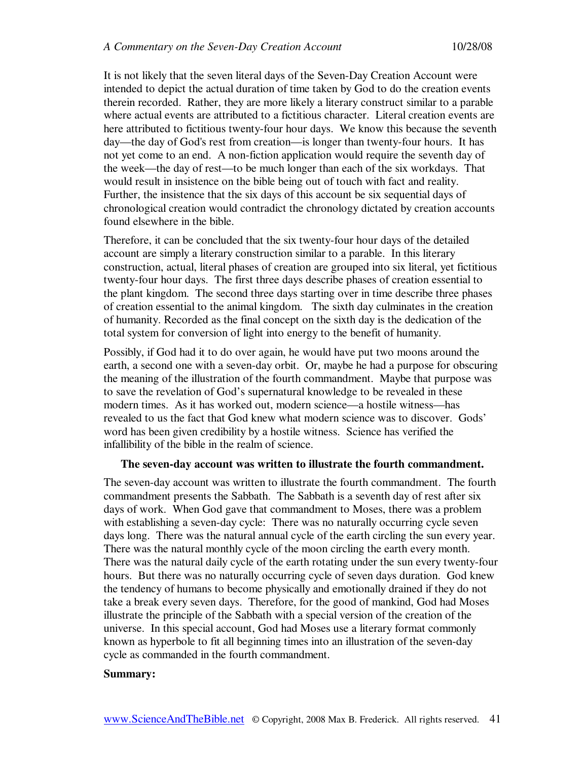It is not likely that the seven literal days of the Seven-Day Creation Account were intended to depict the actual duration of time taken by God to do the creation events therein recorded. Rather, they are more likely a literary construct similar to a parable where actual events are attributed to a fictitious character. Literal creation events are here attributed to fictitious twenty-four hour days. We know this because the seventh day—the day of God's rest from creation—is longer than twenty-four hours. It has not yet come to an end. A non-fiction application would require the seventh day of the week—the day of rest—to be much longer than each of the six workdays. That would result in insistence on the bible being out of touch with fact and reality. Further, the insistence that the six days of this account be six sequential days of chronological creation would contradict the chronology dictated by creation accounts found elsewhere in the bible.

Therefore, it can be concluded that the six twenty-four hour days of the detailed account are simply a literary construction similar to a parable. In this literary construction, actual, literal phases of creation are grouped into six literal, yet fictitious twenty-four hour days. The first three days describe phases of creation essential to the plant kingdom. The second three days starting over in time describe three phases of creation essential to the animal kingdom. The sixth day culminates in the creation of humanity. Recorded as the final concept on the sixth day is the dedication of the total system for conversion of light into energy to the benefit of humanity.

Possibly, if God had it to do over again, he would have put two moons around the earth, a second one with a seven-day orbit. Or, maybe he had a purpose for obscuring the meaning of the illustration of the fourth commandment. Maybe that purpose was to save the revelation of God's supernatural knowledge to be revealed in these modern times. As it has worked out, modern science—a hostile witness—has revealed to us the fact that God knew what modern science was to discover. Gods' word has been given credibility by a hostile witness. Science has verified the infallibility of the bible in the realm of science.

#### **The seven-day account was written to illustrate the fourth commandment.**

The seven-day account was written to illustrate the fourth commandment. The fourth commandment presents the Sabbath. The Sabbath is a seventh day of rest after six days of work. When God gave that commandment to Moses, there was a problem with establishing a seven-day cycle: There was no naturally occurring cycle seven days long. There was the natural annual cycle of the earth circling the sun every year. There was the natural monthly cycle of the moon circling the earth every month. There was the natural daily cycle of the earth rotating under the sun every twenty-four hours. But there was no naturally occurring cycle of seven days duration. God knew the tendency of humans to become physically and emotionally drained if they do not take a break every seven days. Therefore, for the good of mankind, God had Moses illustrate the principle of the Sabbath with a special version of the creation of the universe. In this special account, God had Moses use a literary format commonly known as hyperbole to fit all beginning times into an illustration of the seven-day cycle as commanded in the fourth commandment.

#### **Summary:**